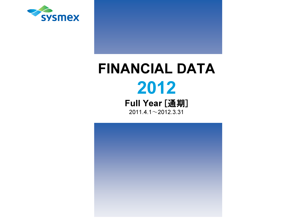

# FINANCIAL DATA 2012

Full Year [通期] 2011.4.1 $\sim$ 2012.3.31

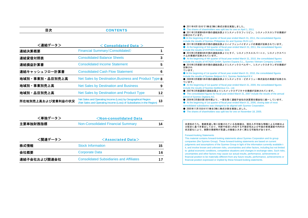| 目次                | <b>CONTENTS</b>                                                                                                                       |    |
|-------------------|---------------------------------------------------------------------------------------------------------------------------------------|----|
| <連結データ>           | <b>Consolidated Data &gt;</b>                                                                                                         |    |
| 連結決算概要            | <b>Financial Summary (Consolidated)</b>                                                                                               |    |
| 連結貸借対照表           | <b>Consolidated Balance Sheets</b>                                                                                                    | 3  |
| 連結損益計算書           | <b>Consolidated Income Statement</b>                                                                                                  | 5  |
| 連結キャッシュフロ一計算書     | <b>Consolidated Cash Flow Statement</b>                                                                                               | 6  |
| 地域別・事業別・品目別売上高    | Net Sales by Destination, Business and Product Type 8                                                                                 |    |
| 地域別・事業別売上高        | <b>Net Sales by Destination and Business</b>                                                                                          | 9  |
| 地域別·品目別売上高        | Net Sales by Destination and Product Type                                                                                             | 12 |
| 所在地別売上高および営業利益の状況 | Net Sales and Operating Income (Loss) by Geographical Region<br>(Net Sales and Operating Income (Loss) of Subsidiaries in the Region) | 13 |

| <単独データ>  | <non-consolidated data<="" th=""><th></th></non-consolidated> |  |
|----------|---------------------------------------------------------------|--|
| 主要単独財務指標 | Non-Consolidated Financial Summary                            |  |

| <関連データ>      | $\leq$ Associated Data $>$                      |    |
|--------------|-------------------------------------------------|----|
| 株式情報         | <b>Stock Information</b>                        | 15 |
| 会社概要         | Corporate Data                                  | 16 |
| 連結子会社および関連会社 | <b>Consolidated Subsidiaries and Affiliates</b> | 17 |

● 2011年4月1日付で1株を2株に株式分割を実施しました。 ● The shares of shareholders was split two for one on April 1, 2011. ● 2011年3月期第4四半期の連結決算よりシスメックスフィリピン、シスメックスロシアの業績が 反映されています。 ● At the beginning of 4th quarter of fiscal year ended March 31, 2011, the consolidated figures include the results of Sysmex Philippines Inc and Sysmex RUS LLC. ● 2011年3月期第3四半期の連結決算よりハイフェンバイオメッドの業績が反映されています。 ● At the beginning of 3rd quarter of fiscal year ended March 31, 2011, the consolidated figures include the results of HYPHEN BioMed, SAS. ● 2010年3月期第4四半期の連結決算よりヒタド、シスメックスエスパーニャ、シスメックスベト ナムの業績が反映されています。 ● At the beginning of 4th quarter of fiscal year ended March 31, 2010, the consolidated figures include the results of HITADO GmbH, Sysmex Espana S.L., Sysmex Vietnam Company Limited. ● 2010年3月期第1四半期の連結決算よりシスメックスベルギー、シスメックスオランダの業績が 反映され ています。 ● At the beginning of 1st quarter of fiscal year ended March 31, 2010, the consolidated figures include the results of Sysmex Belgium N.V, Sysmex Nederland B.V. ● 2009年3月期第1四半期の連結決算よりシスメックス・ビオメリュー株式会社の業績が反映され ています。 ● At the beginning of 1st quarter of fiscal year ended March 31, 2009, the consolidated figures include the results of Sysmex bioMerieux Co., Ltd. ● 2007年3月期通期の連結決算よりシスメックスデジタナの業績が反映されています。 ● The consolidated figures for fiscal year ended March 31, 2007 include the results of the annual period of Sysmex Digitana AG. ● 2006年3月期の第1四半期より、一部を除く連結子会社の決算期を親会社に統一しています。 ● At the beginning of 1st quarter of fiscal year ended March 31, 2006, closing date of most consolidated subsidiaries was changed to be aligned with Sysmex Corporation. ● 2005年11月18日付で1株を2株に株式分割を実施しました。 ● The shares of shareholders was split two for one on November 18, 2005.

本資料のうち、業績見通し等に記載されている各数値は、現在入手可能な情報による判断およ び仮定に基づき算出しており、判断や仮定に内在する不確定性および今後の事業運営や内外の状況変化により、実際の業績等が見通しの数値と大きく異なる可能性があります。

#### Forward-looking Statements

This material contains forward-looking statements about Sysmex Corporation and its group companies (the Sysmex Group). These forward-looking statements are based on current judgments and assumptions of the Sysmex Group in light of the information currently available  $t_0$ it, and involve known and unknown risks, uncertainties and other factors, including but not limited to: global economic conditions, competitive situations and changes in exchange rates. Such risks, uncertainties and other factors may cause our actual results, performance, achievements or financial position to be materially different from any future results, performance, achievements or financial position expressed or implied by these forward-looking statements.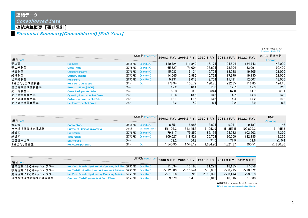連結データ

Consolidated Data

### 連結決算概要[通期累計]

Financial Summary(Consolidated) [Full Year]

|            |                                      |                                  |         |         |                                                             |         |         | (百万円) (構成比:%)<br>$(Y \text{ million})$ $(Ratio: %)$ |
|------------|--------------------------------------|----------------------------------|---------|---------|-------------------------------------------------------------|---------|---------|-----------------------------------------------------|
|            |                                      | 決算期 Fiscal Term                  |         |         | 2008.3 F.Y. 2009.3 F.Y. 2010.3 F.Y. 2011.3 F.Y. 2012.3 F.Y. |         |         | 2013.3 通期予想                                         |
| 項目 Item    |                                      |                                  |         |         |                                                             |         |         | (Forecast)                                          |
| 売上高        | <b>Net Sales</b>                     | (百万円)<br>$(*$ million)           | 110.724 | 111.842 | 116.174                                                     | 124.694 | 134.743 | 148,000                                             |
| 売上総利益      | <b>Gross Profit</b>                  | (百万円)<br>$(4$ million)           | 65.327  | 71.004  | 73.694                                                      | 78.304  | 83,091  | 90.400                                              |
| 営業利益       | <b>Operating Income</b>              | (百万円)<br>$(*$ million)           | 15.033  | 15.134  | 15.708                                                      | 18.288  | 19,205  | 21,000                                              |
| 経常利益       | <b>Ordinary Income</b>               | (百万円)<br>$(*$ million)           | 14.545  | 12.985  | 15.772                                                      | 17.979  | 19.130  | 21.000                                              |
| 当期純利益      | Net Income                           | (百万円)<br>$(\frac{2}{3})$ million | 9,131   | 8,013   | 9,764                                                       | 11,411  | 12,007  | 13,000                                              |
| 1株当たり当期純利益 | Net Income per Share                 | $(\c{4})$<br>(円)                 | 178.94  | 156.72  | 190.75                                                      | 222.35  | 116.85  | 126.45                                              |
| 自己資本当期純利益率 | Return on Equity [ROE]               | (96)                             | 12.2    | 10.1    | 11.8                                                        | 12.7    | 12.3    | 12.3                                                |
| 売上総利益率     | <b>Gross Profit per Net Sales</b>    | (96)                             | 59.0    | 63.5    | 63.4                                                        | 62.8    | 61.7    | 61.1                                                |
| 売上高営業利益率   | Operating Income per Net Sales       | (96)                             | 13.6    | 13.5    | 13.5                                                        | 14.7    | 14.3    | 14.2                                                |
| 売上高経常利益率   | <b>Ordinary Income per Net Sales</b> | (96)                             | 13.1    | 11.6    | 13.6                                                        | 14.4    | 14.2    | 14.2                                                |
| 売上高当期純利益率  | Net Income per Net Sales             | (96)                             | 8.2     | 7.2     | 8.4                                                         | 9.2     | 8.9     | 8.8                                                 |

| 項目 Item     |                              |       | 決算期 Fiscal Term         | 2008.3 F.Y. 2009.3 F.Y. 2010.3 F.Y. 2011.3 F.Y. 2012.3 F.Y. 1 |          |          |          |           | 増減<br>(Variance)   |
|-------------|------------------------------|-------|-------------------------|---------------------------------------------------------------|----------|----------|----------|-----------|--------------------|
| 資本金         | <b>Capital Stock</b>         |       | $($ 百万円) $($ ¥ million) | 8.651                                                         | 8.685    | 8.824    | 9.041    | 9.187     | 146                |
| 自己株控除後期末株式数 | Number of Shares Outstanding | 〔千株〕  | (thousand shares)       | 51.107.2                                                      | 51.145.5 | 51.253.9 | 51.353.5 | 102.809.3 | 51.455.8           |
| 純資産         | <b>Net Assets</b>            |       | $($ 百万円) $($ ¥ million) | 79.117                                                        | 79.850   | 87.136   | 94.232   | 102.502   | 8.270              |
| 総資産         | <b>Total Assets</b>          | (百万円) | $(\frac{2}{3})$ million | 109.027                                                       | 118.521  | 120.702  | 30.059   | 142.285   | 12.226             |
| 自己資本比率      | <b>Equity Ratio</b>          | (96)  |                         | 72.2                                                          | 66.8     | 71.51    | 71.9     | 71.6      | $\triangle$ 0.4    |
| 1株当たり純資産    | Net Assets per Share         | (円)   |                         | 1.540.95                                                      | 1.548.19 | .684.90  | 1.821.37 | 990.51    | $\triangle$ 830.86 |

| 項目 Item          |                                                                                 | 決算期 Fisc                         |                    |                    |                    |                   | 2008.3 F.Y.   2009.3 F.Y.   2010.3 F.Y.   2011.3 F.Y.   2012.3 F.Y. |
|------------------|---------------------------------------------------------------------------------|----------------------------------|--------------------|--------------------|--------------------|-------------------|---------------------------------------------------------------------|
|                  |                                                                                 |                                  |                    |                    |                    |                   |                                                                     |
| 営業活動によるキャッシュ・フロー | Net Cash Provided by (Used in) Operating Activities (百万円) $(4 \text{ million})$ |                                  | 11.634             | 13.193             | 21.229             | 18.135            | 17.058                                                              |
| 投資活動によるキャッシュ・フロー | Net Cash Provided by (Used in) Investment Activities                            | (百万円)<br>$(\frac{2}{3})$ million | $\triangle$ 12.883 | $\triangle$ 13.544 | $\triangle$ 6.603  | $\triangle$ 8.915 | $\triangle$ 10.372                                                  |
| 財務活動によるキャッシュ・フロー | Net Cash Provided by (Used in) Financing Activities                             | (百万円) (¥ million)                | $\Delta$ 1.316     | 723                | $\triangle$ 10.090 | $\triangle$ 3.474 | $\triangle$ 3.813                                                   |
| 現金及び現金同等物の期末残高   | Cash and Cash Equivalents at End of Term                                        | (百万円)<br>$(\frac{2}{3})$ million | 9,679              | 9.410              | 13.812             | <b>18,915</b>     | 21,838                                                              |

●通期予想は、2012年5月に公表したものです。

**Business forecast was revised on May 2012.**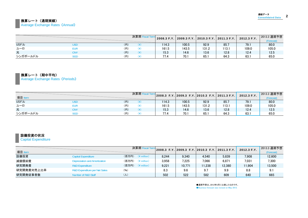### 換算レート(通期実績)

Average Exchange Rates (Annual)

|          |     |     | 決算期 | 2008.3 F.Y. |       |       | .   2009.3 F.Y.   2010.3 F.Y.   2011.3 F.Y. | 2012.3 F.Y. | 2013.3 通期予想<br>(Forecast) |
|----------|-----|-----|-----|-------------|-------|-------|---------------------------------------------|-------------|---------------------------|
| USドル     | USD | (H) |     | 114.3       | 100.5 | 92.9  | 85.                                         | 79.1        | 80.0                      |
| ユーロ      | eur | (円) |     | 161.5       | 143.5 | 131.2 | 113.1                                       | 109.0       | 105.0                     |
| 元        | CN  | (H) |     | 15.3        | 14.6  | 13.6  | 12.8                                        | 12.4        | 12.5                      |
| シンガポールドル | SGD | (円) |     | 77.4        | 70.1  | 65.1  | 64.3                                        | 63.1        | 65.0                      |

換算レート(期中平均)

Average Exchange Rates (Periods)

| 項目 Item      |     |     | 決算期 Fisc |       |       |       | $\ $ 2008.3 F.Y. 2009.3 F.Y. 2010.3 F.Y. 2011.3 F.Y. | 2012.3 F.Y. | 2013.3 通期予想<br>(Forecast) |
|--------------|-----|-----|----------|-------|-------|-------|------------------------------------------------------|-------------|---------------------------|
| <b>USFJL</b> | jse |     |          | 114.3 | 100.5 | 92.9  | 85.7                                                 | 79.1        | 80.0                      |
| ユーロ          | ∃UR |     |          | 161.5 | 143.5 | 131.2 | 113.1                                                | 109.0       | 105.0                     |
| 元            | CNY | (円) |          | 15.3  | 14.6  | 13.6  | 12.8                                                 | 12.4        | 12.5                      |
| シンガポールドル     | SGD | (H) |          | 77.4  | 70.1  | 65.   | 64.3                                                 | 63.         | 65.0                      |

### 設備投資の状況

Capital Expenditure

| 項目 Item    |                                          | 決算期 Fiscal T                     |       | 2008.3 F.Y. 2009.3 F.Y. 2010.3 F.Y. 2011.3 F.Y. |        |        | 2012.3 F.Y. | 2013.3 通期予想<br>(Forecast) |
|------------|------------------------------------------|----------------------------------|-------|-------------------------------------------------|--------|--------|-------------|---------------------------|
| 設備投資       | <b>Capital Expenditure</b>               | (百万円)<br>$(\frac{2}{3})$ million | 8.244 | 9.340                                           | 4.540  | 5.839  | 7.908       | 12.600                    |
| 減価償却費      | <b>Depreciation and Amortization</b>     | (百万円)<br>$(4$ million)           | 3.958 | 7.225                                           | 7.066  | 6.871  | 7.031       | 7,300                     |
| 研究開発費      | <b>R&amp;D Expenditure</b>               | (百万円)<br>$(\frac{2}{3})$ million | 9.221 | 10.771                                          | 11.238 | 12.380 | 11.904      | 13.500                    |
| 研究開発費対売上比率 | <b>R&amp;D Expenditure per Net Sales</b> | (96)                             | 8.3   | 9.6                                             | 9.7    | 9.9    | 8.8         | 9.1                       |
| 研究開発従事者数   | Number of R&D Staff                      | $(\lambda)$                      | 502   | 522                                             | 582    | 609    | 640         | 665                       |

●通期予想は、2012年5月に公表したものです。 ●Business forecast was revised on May 2012.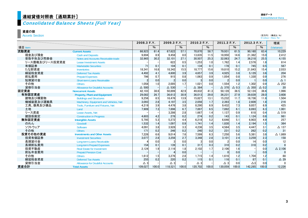### <mark>)連結貸借対照表[通期累計]</mark>

### Consolidated Balance Sheets [Full Year]

### 資産の部

Assets Section

|                |                                           | 2008.3 F.Y.     |       | 2009.3 F.Y.   |       |                 | 2010.3 F.Y. |                 | 2011.3 F.Y.     | 2012.3 F.Y.     |                 | 増減                |
|----------------|-------------------------------------------|-----------------|-------|---------------|-------|-----------------|-------------|-----------------|-----------------|-----------------|-----------------|-------------------|
| 項目 Item        |                                           |                 | %     |               | $\%$  |                 | $\%$        |                 | $\%$            |                 | %               | (Variance)        |
| 流動資産           | <b>Current Assets</b>                     | 66,923          | 61.4  | 67,622        | 57.1  | 70.870          | 58.7        | 79,931          | 61.5            | 90.160          | 63.4            | 10,229            |
| 現金及び預金         | <b>Cash and Deposits</b>                  | 9,694           | 8.9   | 9.458         | 8.0   | 13.835          | 11.5        | 18,950          | 14.6            | 21,362          | 15.0            | 2,412             |
| 受取手形及び売掛金      | Notes and Accounts Receivable-trade       | 32,965          | 30.2  | 32,101        | 27.1  | 30,507          | 25.3        | 32,063          | 24.7            | 36,218          | 25.5            | 4,155             |
| リース債権及びリース投資資産 | <b>Lease Investment Assets</b>            |                 |       | 622           | 0.5   | 1,253           | 1.0         | 1.762           | 1.4             | 2,576           | 1.8             | 814               |
| 有価証券           | <b>Marketable Securities</b>              | 71              | 0.1   | 104           | 0.1   | 134             | 0.1         | 178             | 0.1             | 745             | 0.5             | 567               |
| たな卸資産          | <b>Inventories</b>                        | 18.341          | 16.8  | 18.342        | 15.5  | 18.777          | 15.6        | 19.810          | 15.2            | 21.843          | 15.4            | 2,033             |
| 繰延税金資産         | <b>Deferred Tax Assets</b>                | 4,492           | 4.1   | 4,600         | 3.9   | 4,657           | 3.9         | 4.925           | 3.8             | 5,129           | 3.6             | 204               |
| 前払費用           | <b>Prepaid Expenses</b>                   | 796             | 0.7   | 915           | 0.8   | 1,063           | 0.9         | 1,054           | 0.8             | 1,330           | 0.9             | 276               |
| 短期貸付金          | <b>Short-term Loans Receivable</b>        |                 | 0.0   |               | 0.0   |                 | 0.0         |                 | 0.0             |                 | 0.0             | $\Delta$ 1        |
| その他            | <b>Others</b>                             | 1.058           | 1.0   | 2.005         | 1.7   | 1.021           | 0.8         | 1.554           | 1.2             | 1.302           | 0.9             | $\triangle$ 252   |
| 貸倒引当金          | <b>Allowance for Doubtful Accounts</b>    | $\triangle$ 500 |       | $\Delta$ 530  |       | $\triangle$ 384 |             | $\triangle$ 370 | $\triangle$ 0.3 | $\triangle$ 350 | $\triangle$ 0.2 | 20                |
| 固定資産           | <b>Noncurrent Assets</b>                  | 42,103          | 38.6  | 50.899        | 42.9  | 49.832          | 41.3        | 50.128          | 38.5            | 52,124          | 36.6            | 1.996             |
| 有形固定資産         | <b>Property, Plant and Equipment</b>      | 29,082          | 26.7  | 36,612        | 30.9  | 36,013          | 29.8        | 36,231          | 27.9            | 39,839          | 28.0            | 3,608             |
| 建物及び構築物        | <b>Buildings and Structures</b>           | 9,256           | 8.5   | 16.476        | 13.9  | 15.827          | 13.1        | 15.232          | 11.7            | 16.736          | 11.8            | 1,504             |
| 機械装置及び運搬具      | Machinery, Equipment and Vehicles, Net    | 3,093           | 2.8   | 4.197         | 3.5   | 2,056           | 1.7         | 2,393           | 1.8             | 2,609           | 1.8             | 216               |
| 工具、器具及び備品      | <b>Tools. Furniture and Fixtures. Net</b> | 4,219           | 3.9   | 4,476         | 3.8   | 8,290           | 6.9         | 9,432           | 7.3             | 9,857           | 6.9             | 425               |
| 土地             | Land                                      | 7,909           | 7.3   | 7,896         | 6.7   | 7,897           | 6.5         | 7,892           | 6.1             | 8,893           | 6.3             | 1,001             |
| リース資産          | Lease Assets, Net                         |                 |       | 3,286         | 2.8   | 1.667           | 1.4         | 1.137           | 0.9             | 618             | 0.4             | $\Delta$ 519      |
| 建設仮勘定          | <b>Construction in Progress</b>           | 4,603           | 4.2   | 278           | 0.2   | 274             | 0.2         | 143             | 0.1             | 1,124           | 0.8             | 981               |
| 無形固定資産         | <b>Intangible Assets</b>                  | 5,795           | 5.3   | 5,272         | 4.4   | 6,218           | 5.2         | 6.646           | 5.1             | 6,903           | 4.9             | 257               |
| のれん            | Goodwill                                  | 1,532           | 1.4   | 1.097         | 0.9   | 1.741           | 1.4         | 1.830           | 1.4             | 2,194           | 1.5             | 364               |
| ソフトウェア         | <b>Software</b>                           | 4,091           | 3.8   | 3,928         | 3.3   | 4,236           | 3.5         | 4,584           | 3.5             | 4,447           | 3.1             | △ 137             |
| その他            | <b>Others</b>                             | 171             | 0.2   | 246           | 0.2   | 240             | 0.2         | 231             | 0.2             | 262             | 0.2             | 31                |
| 投資その他の資産       | <b>Investments and Other Assets</b>       | 7,226           | 6.6   | 9.014         | 7.6   | 7.599           | 6.3         | 7.250           | 5.6             | 5,381           | 3.8             | $\Delta$ 1,869    |
| 投資有価証券         | <b>Investment Securities</b>              | 3,077           | 2.8   | 3,256         | 2.7   | 3,348           | 2.8         | 3.101           | 2.4             | 3,259           | 2.3             | 158               |
| 長期貸付金          | Long-term Loans Receivable                |                 | 0.0   |               | 0.0   |                 | 0.0         |                 | 0.0             | 14              | 0.0             | 12                |
| 長期前払費用         | <b>Long-term Prepaid Expenses</b>         | 154             | 0.1   | 139           | 0.1   | 317             | 0.3         | 310             | 0.2             | 318             | 0.2             |                   |
| 投資不動産          | <b>Real Estate for Investment</b>         | 2,124           | 1.9   | 2.116         | 1.8   | 2,102           | 1.7         | 2,106           | 1.6             |                 | 0.0             | $\triangle$ 2,106 |
| 前払年金費用         | <b>Prepaid Pension Cost</b>               |                 |       |               | 0.0   |                 |             | $\Omega$        | 0.0             |                 | 0.0             |                   |
| その他            | <b>Others</b>                             | 1,612           | 1.5   | 3,276         | 2.8   | 1.715           | 1.4         | 1,616           | 1.2             | 1,704           | 1.2             | 88                |
| 繰延税金資産         | <b>Deferred Tax Assets</b>                | 255             | 0.2   | 220           | 0.2   | 115             | 0.1         | 116             | 0.1             | 87              | 0.1             | $\triangle$ 29    |
| 貸倒引当金          | <b>Allowance for Doubtful Accounts</b>    | $\triangle$ 3   |       | $\triangle$ 3 |       | $\triangle$ 3   |             | $\triangle$ 3   | 0.0             | $\triangle 3$   | 0.0             |                   |
| 資産合計           | <b>Total Assets</b>                       | 109.027         | 100.0 | 118,521       | 100.0 | 120.702         | 100.0       | 130,059         | 100.0           | 142,285         | 100.0           | 12.226            |

(百万円) (構成比:%)<br>(¥ million) (Ratio:%)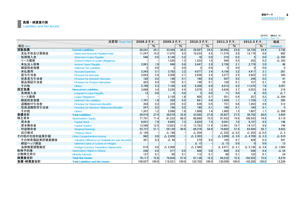|              |                                                       |              |       |                   |       |                   |       |                   |                 |                   |              | (百万円) (構成比:%)<br>$(Y$ million) $(Ratio: %)$ |
|--------------|-------------------------------------------------------|--------------|-------|-------------------|-------|-------------------|-------|-------------------|-----------------|-------------------|--------------|---------------------------------------------|
|              | 決算期 Fiscal Term                                       | 2008.3 F.Y.  |       | 2009.3 F.Y.       |       | 2010.3 F.Y.       |       | 2011.3 F.Y.       |                 | 2012.3 F.Y.       |              | 増減                                          |
| 項目 Item      |                                                       |              | %     |                   | $\%$  |                   | %     |                   | $\%$            |                   | $\%$         | (Variance)                                  |
| 流動負債         | <b>Current Liabilities</b>                            | 26.241       | 24.1  | 33.444            | 28.2  | 29.587            | 24.5  | 30.992            | 23.8            | 34.728            | 24.4         | 3.736                                       |
| 支払手形及び買掛金    | Notes and Accounts Payable-trade                      | 11,247       | 10.3  | 11,075            | 9.3   | 10,233            | 8.5   | 11.574            | 8.9             | 12,176            | 8.6          | 602                                         |
| 短期借入金        | <b>Short-term Loans Payable</b>                       | 546          | 0.5   | 6.149             | 5.2   | 16                | 0.0   | 310               | 0.2             |                   | 0.0          | $\triangle$ 305                             |
| リース債務        | <b>Current Portion of Lease Obligations</b>           |              |       | 1,520             | 1.3   | 1,223             | 1.0   | 594               | 0.5             | 252               | 0.2          | $\triangle$ 342                             |
| 未払法人税等       | <b>Income Taxes Pavable</b>                           | 2.061        | 1.9   | 948               | 0.8   | 2.447             | 2.0   | 2.728             | 2.1             | 2.776             | 2.0          | 48                                          |
| 繰延税金負債       | <b>Deferred Tax Liabilities</b>                       |              | 0.0   |                   | 0.0   |                   | 0.0   |                   | 0.0             |                   | 0.0          |                                             |
| 未払費用         | <b>Accrued Expenses</b>                               | 3,343        | 3.1   | 3,782             | 3.2   | 4.077             | 3.4   | 4,156             | 3.2             | 4,417             | 3.1          | 261                                         |
| 賞与引当金        | <b>Provision for Bonuses</b>                          | 2.643        | 2.4   | 2,506             | 2.1   | 2.936             | 2.4   | 3.277             | 2.5             | 3,622             | 2.5          | 345                                         |
| 役員賞与引当金      | <b>Provision for Directors' Bonuses</b>               | 182          | 0.2   | 140               | 0.1   | 190               | 0.2   | 207               | 0.2             | 248               | 0.2          | 41                                          |
| 製品保証引当金      | <b>Provision for Product Warranties</b>               | 423          | 0.4   | 150               | 0.1   | 149               | 0.1   | 128               | 0.1             | 157               | 0.1          | 29                                          |
| その他          | <b>Others</b>                                         | 5,790        | 5.3   | 7.166             | 6.0   | 8.309             | 6.9   | 8,013             | 6.2             | 11,070            | 7.8          | 3,057                                       |
| 固定負債         | <b>Noncurrent Liabilities</b>                         | 3.668        | 3.4   | 5,226             | 4.4   | 3,978             | 3.3   | 4,834             | 3.7             | 5,053             | 3.6          | 219                                         |
| 長期借入金        | Long-term Loans Payable                               | 13           | 0.0   |                   | 0.0   |                   | 0.0   | 11                | 0.0             |                   | 0.0          | $\Delta$ 7                                  |
| リース債務        | <b>Lease Obligations</b>                              |              |       | 2,150             | 1.8   | 805               | 0.7   | 551               | 0.4             | 257               | 0.2          | △ 294                                       |
| 繰延税金負債       | <b>Deferred Tax Liabilities</b>                       | 1.701        | 1.6   | 550               | 0.5   | 681               | 0.6   | 1,454             | 1.1             | 1.759             | 1.2          | 305                                         |
| 退職給付引当金      | <b>Provision for Retirement Benefits</b>              | 354          | 0.3   | 224               | 0.2   | 639               | 0.5   | 751               | 0.6             | 1,263             | 0.9          | 512                                         |
| 役員退職慰労引当金    | <b>Provision for Directors' Retirement Benefits</b>   | 247          | 0.2   | 196               | 0.2   | 160               | 0.1   | 160               | 0.1             | 160               | 0.1          |                                             |
| その他          | <b>Others</b>                                         | 1.351        | 1.2   | 2,098             | 1.8   | 1.688             | 1.4   | 1,905             | 1.5             | 1.607             | 1.1          | △ 298                                       |
| 負債合計         | <b>Total Liabilities</b>                              | 29,910       | 27.4  | 38.670            | 32.6  | 33.565            | 27.8  | 35.827            | 27.5            | 39,782            | 28.0         | 3.955                                       |
| 株主資本         | <b>Shareholders' Equity</b>                           | 77.791       | 71.4  | 81,233            | 68.5  | 88.660            | 73.5  | 97.433            | 74.9            | 106,543           | 74.9         | 9,110                                       |
| 資本金          | <b>Capital Stock</b>                                  | 8.651        | 7.9   | 8,685             | 7.3   | 8.824             | 7.3   | 9.041             | 7.0             | 9.187             | 6.5          | 146                                         |
| 資本剰余金        | <b>Capital Surplus</b>                                | 13,588       | 12.5  | 13.623            | 11.5  | 13.763            | 11.4  | 13.981            | 10.7            | 14,127            | 9.9          | 146                                         |
| 利益剰余金        | <b>Retained Earnings</b>                              | 55,737       | 51.1  | 59.120            | 49.9  | 66,276            | 54.9  | 74.662            | 57.4            | 83,484            | 58.7         | 8,822                                       |
| 自己株式         | <b>Treasury Stock</b>                                 | $\Delta$ 185 |       | $\Delta$ 196      |       | $\triangle$ 204   |       | $\triangle$ 252   | $\triangle$ 0.2 | $\triangle$ 255   | $\Delta$ 0.2 | $\Delta$ 3                                  |
| その他の包括利益累計額  | <b>Other Comprehensive Income</b>                     | 962          | 0.9   | $\triangle$ 2,050 |       | $\triangle$ 2.303 |       | $\triangle$ 3,899 | $\Delta$ 3.0    | $\triangle$ 4.709 | $\Delta$ 3.3 | $\triangle$ 810                             |
| その他有価証券評価差額金 | Valuation Difference on Available-for-sale Securities | 351          | 0.3   | $\triangle$ 44    |       | 270               | 0.2   | 185               | 0.1             | 426               | 0.3          | 241                                         |
| 繰延ヘッジ損益      | Deferred Gains or Losses on Hedges                    |              |       |                   |       | $\Delta$ 13       |       | $\Delta$ 13       | 0.0             |                   | 0.0          | 13                                          |
| 為替換算調整勘定     | <b>Foreign Currency Translation Adjustments</b>       | 610          | 0.6   | $\triangle$ 2.006 |       | $\triangle$ 2.560 |       | $\triangle$ 4,071 | $\Delta$ 3.1    | $\Delta$ 5,136    | $\Delta$ 3.6 | $\triangle$ 1.065                           |
| 新株予約権        | <b>Subscription Rights to Shares</b>                  | 236          | 0.2   | 577               | 0.5   | 666               | 0.6   | 600               | 0.5             | 546               | 0.4          | $\triangle$ 54                              |
| 少数株主持分       | <b>Minority Interests</b>                             | 127          | 0.1   | 89                | 0.1   | 112               | 0.1   | 98                | 0.1             | 122               | 0.1          | 24                                          |
| 純資産合計        | <b>Total Net Assets</b>                               | 79,117       | 72.6  | 79,850            | 67.4  | 87.136            | 72.2  | 94,232            | 72.5            | 102,502           | 72.0         | 8,270                                       |
| 負債·純資産合計     | <b>Total Liabilities and Net Assets</b>               | 109.027      | 100.0 | 118.521           | 100.0 | 120.702           | 100.0 | 130.059           | 100.0           | 142.285           | 100.0        | 12.226                                      |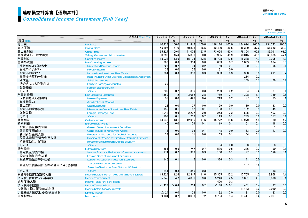### 連結損益計算書[通期累計]  $\quad \frac{1}{2}$  . The consolidated Data of the consolidated Data of the consolidated Data of the consolidated Data of the consolidated Data of the consolidated Data of the consolidated Data of the consolidated

当期純利益

### Consolidated Income Statement [Full Year]

|                     | 決算期 Fiscal Term                                             | 2008.3 F.Y.     |                          | 2009.3 F.Y. |       | 2010.3 F.Y.    |                 | 2011.3 F.Y. |                          | 2012.3 F.Y. |       |
|---------------------|-------------------------------------------------------------|-----------------|--------------------------|-------------|-------|----------------|-----------------|-------------|--------------------------|-------------|-------|
| 項目 Item             |                                                             |                 | $\overline{\frac{0}{6}}$ |             | %     |                | $\frac{9}{6}$   |             | $\overline{\frac{9}{6}}$ |             | $\%$  |
| 売上高                 | <b>Net Sales</b>                                            | 110.724         | 100.0                    | 111.842     | 100.0 | 116.174        | 100.0           | 124,694     | 100.0                    | 134.743     | 100.0 |
| 売上原価                | <b>Cost of Sales</b>                                        | 45.396          | 41.0                     | 40,838      | 36.5  | 42.480         | 36.6            | 46,389      | 37.2                     | 51,652      | 38.3  |
| 売上総利益               | <b>Gross Profit</b>                                         | 65,327          | 59.0                     | 71,004      | 63.5  | 73,694         | 63.4            | 78,304      | 62.8                     | 83,091      | 61.7  |
| 販売費及び一般管理費          | Selling, General and Administrative                         | 50,293          | 45.4                     | 55,870      | 50.0  | 57.985         | 49.9            | 60,015      | 48.1                     | 63.885      | 47.4  |
| 営業利益                | <b>Operating Income</b>                                     | 15,033          | 13.6                     | 15,134      | 13.5  | 15.708         | 13.5            | 18,288      | 14.7                     | 19.205      | 14.3  |
| 営業外収益               | <b>Non-Operating Income</b>                                 | 880             | 0.8                      | 934         | 0.8   | 833            | 0.7             | 1.089       | 0.9                      | 664         | 0.5   |
| 受取利息及び配当金           | <b>Interest and Dividend Income</b>                         | 225             | 0.2                      | 194         | 0.2   | 159            | 0.1             | 180         | 0.1                      | 195         | 0.1   |
| 受取ロイヤルティ            | <b>Royalty Income</b>                                       | 34              | 0.0                      | 35          | 0.0   | 31             | 0.0             |             |                          |             |       |
| 投資不動産収入             | Income from Investment Real Estate                          | 384             | 0.3                      | 387         | 0.3   | 383            | 0.3             | 390         | 0.3                      | 211         | 0.2   |
| 業務提携契約一時金           | Initial Payment under Business Collaboration Agreement      |                 |                          |             |       |                |                 | 214         | 0.2                      |             |       |
| 助成金                 | Subsidize revenue                                           |                 |                          |             |       |                |                 | 109         | 0.1                      | 69          | 0.1   |
| 持分法による投資利益          | <b>Equity in Earnings of Affiliates</b>                     | 29              |                          |             |       |                |                 |             |                          |             |       |
| 為替差益                | <b>Foreign Exchange Gain</b>                                |                 |                          |             |       |                |                 |             |                          |             |       |
| その他                 | <b>Others</b>                                               | 206             | 0.2                      | 316         | 0.3   | 259            | 0.2             | 194         | 0.2                      | 187         | 0.1   |
| 営業外費用               | <b>Non-Operating Expenses</b>                               | 1,369           | 1.2                      | 3,082       | 2.8   | 769            | 0.7             | 1,398       | 1.1                      | 739         | 0.5   |
| 支払利息及び割引料           | <b>Interest Expenses</b>                                    | 33              | 0.0                      | 427         | 0.4   | 213            | 0.2             | 97          | 0.1                      | 95          | 0.1   |
| 営業権償却               | <b>Amortization of Goodwill</b>                             |                 |                          |             |       |                |                 |             |                          |             |       |
| 売上割引                | <b>Sales Discounts</b>                                      | 28              | 0.0                      | 27          | 0.0   | 29             | 0.0             | 30          | 0.0                      | 33          | 0.0   |
| 投資不動産維持費            | Maintenance Cost of Investment Real Estate                  | 155             | 0.1                      | 162         | 0.1   | 158            | 0.1             | 152         | 0.1                      | 49          | 0.0   |
| 為替差損                | <b>Foreign Exchange Loss</b>                                | 1,048           | 0.9                      | 2,227       | 2.0   | 253            | 0.2             | 885         | 0.7                      | 403         | 0.3   |
| その他                 | <b>Others</b>                                               | 103             | 0.1                      | 236         | 0.2   | 113            | 0.1             | 233         | 0.2                      | 157         | 0.1   |
| 経常利益                | <b>Ordinary Income</b>                                      | 14,545          | 13.1                     | 12,985      | 11.6  | 15,772         | 13.6            | 17,979      | 14.4                     | 19,130      | 14.2  |
| 特別利益                | <b>Extraordinary Profits</b>                                | 40              | 0.0                      | 109         | 0.1   | 119            | 0.1             | 101         | 0.1                      | 18          | 0.0   |
| 投資有価証券売却益           | <b>Gain on Sales of Investment Securities</b>               |                 |                          |             |       |                |                 |             |                          |             | 0.0   |
| 固定資産売却益             | <b>Gains on Sale of Noncurrent Assets</b>                   | $6 \,$          | 0.0                      | 98          | 0.1   | 48             | 0.0             | 33          | 0.0                      | 13          | 0.0   |
| 貸倒引当金戻入額            | <b>Reversal of Allowance for Doubtful Accounts</b>          | 33              | 0.0                      | 11          | 0.0   | 65             | 0.1             | 64          | 0.1                      |             |       |
| 役員退職慰労引当金戻入益        | Reversal of Reserve for Directors' Retirement Benefits      |                 |                          |             |       |                |                 |             |                          |             |       |
| 持分変動による利益           | Investment Income from Change of Equity                     |                 |                          |             |       |                |                 |             |                          |             |       |
| その他                 | <b>Others</b>                                               |                 |                          |             |       |                | 0.0             | 3           | 0.0                      | 3           | 0.0   |
| 特別損失                | <b>Extraordinary Loss</b>                                   | 661             | 0.6                      | 747         | 0.7   | 536            | 0.5             | 326         | 0.3                      | 190         | 0.1   |
| 固定資産除売却損            | Loss on Sales and Retirement of Noncurrent Assets           | 174             | 0.2                      | 386         | 0.3   | 160            | 0.1             | 97          | 0.1                      | 176         | 0.1   |
| 投資有価証券売却損           | <b>Loss on Sales of Investment Securities</b>               |                 |                          |             |       |                |                 |             |                          |             |       |
| 投資有価証券等評価損          | <b>Loss on Valuation of Investment Securities</b>           | 145             | 0.1                      | 15          | 0.0   | 376            | 0.3             | 41          | 0.0                      |             |       |
|                     | Loss on Adjustment for Changes of                           |                 |                          |             |       |                |                 |             |                          |             |       |
| 資産除去債務会計基準の適用に伴う影響額 | <b>Accounting Standard for Asset Retirement Obligations</b> |                 |                          |             |       |                |                 | 187         | 0.2                      |             |       |
| その他                 | <b>Others</b>                                               | 341             | 0.3                      | 345         | 0.3   |                |                 |             |                          | 13          | 0.0   |
| 税金等調整前当期純利益         | Income before Income Taxes and Minority Interests           | 13.924          | 12.6                     | 12,347      | 11.0  | 15.355         | 13.2            | 17,755      | 14.2                     | 18.958      | 14.1  |
| 法人税、住民税及び事業税        | <b>Income Taxes-current</b>                                 | 5,245           | 4.7                      | 4,071       | 3.6   | 5,246          | 4.5             | 5.861       | 4.7                      | 6.890       | 5.1   |
| 過年度法人税              | <b>Income Taxes for Prior Periods</b>                       |                 |                          |             |       | 400            | 0.3             |             |                          |             |       |
| 法人税等調整額             | Income Taxes-deferred                                       | $\triangle$ 428 | $\triangle$ 0.4          | 234         | 0.2   | $\triangle$ 88 | $\triangle$ 0.1 | 451         | 0.4                      | 37          | 0.0   |
| 少数株主損益調整前純利益        | <b>Income before Minority Interests</b>                     |                 |                          |             |       |                |                 | 11,443      | 9.2                      | 12.030      | 8.9   |
| 少数株主利益又は少数株主損失      | <b>Minority Interest</b>                                    | $\triangle$ 24  | 0.0                      | 28          | 0.0   | 32             | 0.0             | 31          | 0.0                      | 23          | 0.0   |

益 Net Income 9,131 8.2 8,013 7.2 9,764 8.4 11,411 9.2 12,007 8.9

(百万円) (構成比:%) (\ million) (Ratio:%)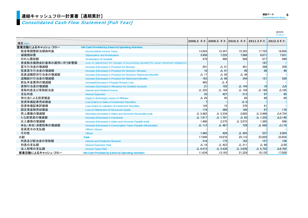### Consolidated Cash Flow Statement [Full Year]

|                     |                                                                                        |                   |                   |                                                             |                   | $(Y$ million)     |
|---------------------|----------------------------------------------------------------------------------------|-------------------|-------------------|-------------------------------------------------------------|-------------------|-------------------|
| 項目 Item             |                                                                                        |                   |                   | 2008.3 F.Y. 2009.3 F.Y. 2010.3 F.Y. 2011.3 F.Y. 2012.3 F.Y. |                   |                   |
| 営業活動によるキャッシュ・フロー    | Net Cash Provided by (Used in) Operating Activities                                    |                   |                   |                                                             |                   |                   |
| 税金等調整前当期純利益         | Income before Income Taxes                                                             | 13,924            | 12,347            | 15,355                                                      | <b>17,755</b>     | 18,958            |
| 減価償却費               | <b>Depreciation and Amortization</b>                                                   | 3,958             | 7,225             | 7.066                                                       | 6.871             | 7.031             |
| のれん償却額              | <b>Amortization of Goodwill</b>                                                        | 479               | 466               | 566                                                         | 677               | 990               |
| 資産除去債務会計基準の適用に伴う影響額 | Loss on adjustment for changes of accounting standard for asset retirement obligations |                   |                   |                                                             | 187               |                   |
| 賞与引当金の増減額           | Increase (Decrease) in Provision for Bonuses                                           | 291               | $\Delta$ 51       | 441                                                         | 398               | 359               |
| 役員賞与引当金の増減額         | Increase (Decrease) in Provision for Directors' Bonuses                                | 18                | $\Delta$ 41       | 49                                                          | 26                | 40                |
| 役員退職慰労引当金の増減額       | Increase (Decrease) in Provision for Directors' Retirement Benefits                    | $\Delta$ 17       | $\Delta$ 50       | $\triangle$ 36                                              |                   |                   |
| 退職給付引当金の増減額         | Increase (Decrease) in Provision for Retirement Benefits                               | 163               | $\triangle$ 98    | 344                                                         | 121               | 526               |
| 前払年金費用の増減額          | Increase/Decrease in Prepaid Pension Cost                                              | 465               | $\triangle$ 4     |                                                             |                   |                   |
| 貸倒引当金の増減額           | Increase (Decrease) in Allowance for Doubtful Accounts                                 | 21                | 102               | $\triangle$ 144                                             | 10 <sup>°</sup>   | $\Delta 6$        |
| 受取利息及び受取配当金         | Interest and Dividend Income                                                           | $\triangle$ 225   | $\triangle$ 194   | $\Delta$ 159                                                | $\triangle$ 180   | $\triangle$ 195   |
| 支払利息                | <b>Interest Expenses</b>                                                               | 33                | 427               | 213                                                         | 97                | 95                |
| 持分法による投資損益          | Equity in (Earnings) Losses of Affiliates                                              | $\triangle$ 29    | 45                | 60                                                          | 60                | 60                |
| 投資有価証券売却損益          | Loss (Gain) on Sales of Investment Securities                                          |                   |                   | $\triangle$ 0                                               |                   | 4                 |
| 投資有価証券評価損           | Loss (Gain) on valuation of Investment Securities                                      | 145               | 15                | 376                                                         | 41                |                   |
| 固定資産除売却損益           | <b>Loss on Retirement of Noncurrent Assets</b>                                         | 174               | 386               | 160                                                         | 97                | 176               |
| 売上債権の増減額            | Decrease (Increase) in Notes and Accounts Receivable-trade                             | $\triangle$ 2.462 | $\triangle$ 2.334 | 2,685                                                       | $\triangle$ 2.468 | $\triangle$ 4.754 |
| たな卸資産の増減額           | Increase (Decrease) in Inventories                                                     | $\Delta$ 1.917    | $\Delta$ 1.701    | $\triangle$ 93                                              | $\Delta$ 1.335    | $\Delta$ 2.140    |
| 仕入債務の増減額            | Increase (Decrease) in Notes and Accounts Payable-trade                                | 1.468             | 2,375             | $\triangle$ 2,073                                           | 1.365             | 596               |
| 未払(未収)消費税等の増減額      | Increase (Decrease) in Consumption Taxes Payable (Receivable)                          | $\Delta$ 112      | $\triangle$ 467   | 729                                                         | $\triangle$ 442   | $\Delta$ 110      |
| 役員賞与の支払額            | <b>Officer's Bonus</b>                                                                 |                   |                   |                                                             |                   |                   |
| その他                 | <b>Others</b>                                                                          | 1,462             | 428               | △ 425                                                       | 537               | 2,024             |
| 小計                  | <b>Total</b>                                                                           | 17,849            | 18.878            | 25,116                                                      | 23,820            | 23,654            |
| 利息及び配当金の受取額         | <b>Interest and Dividends Received</b>                                                 | 218               | 175               | 162                                                         | 157               | 156               |
| 利息の支払額              | <b>Interest Expenses Paid</b>                                                          | $\Delta$ 18       | $\triangle$ 423   | $\Delta$ 211                                                | $\triangle$ 90    | $\triangle$ 50    |
| 法人税等の支払額            | <b>Income Taxes Paid</b>                                                               | $\Delta$ 6,415    | $\Delta$ 5,436    | $\triangle$ 3,838                                           | $\triangle$ 5.752 | $\Delta$ 6,702    |
| 営業活動によるキャッシュ・フロー    | Net Cash Provided by (Used in) Operating Activities                                    | 11.634            | 13.193            | 21,229                                                      | <b>18.135</b>     | 17,058            |

(百万円)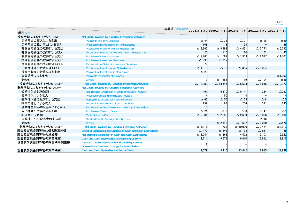(百万円)<br>(¥ million)

|                   |                                                             | 決算期 Fiscal Term    |                    |                                                             |                   |                    |
|-------------------|-------------------------------------------------------------|--------------------|--------------------|-------------------------------------------------------------|-------------------|--------------------|
| 項目 Item           |                                                             |                    |                    | 2008.3 F.Y. 2009.3 F.Y. 2010.3 F.Y. 2011.3 F.Y. 2012.3 F.Y. |                   |                    |
| 投資活動によるキャッシュ・フロー  | Net Cash Provided by (Used in) Investment Activities        |                    |                    |                                                             |                   |                    |
| 定期預金の預入による支出      | <b>Payments into Time Deposits</b>                          | $\triangle$ 44     | $\triangle$ 36     | $\Delta$ 21                                                 | $\triangle$ 18    | $\triangle$ 29     |
| 定期預金の払い戻しによる収入    | Proceeds from Withdrawal of Time Deposits                   | 108                |                    | 54                                                          |                   | 39                 |
| 有形固定資産の取得による支出    | Purchase of Property, Plant and Equipment                   | $\triangle$ 8.265  | $\triangle$ 9.392  | $\triangle$ 4,461                                           | $\triangle$ 5.773 | $\Delta$ 6,732     |
| 有形固定資産の売却による収入    | Proceeds from Sales of Property, Plan and Equipment         | 20                 | 115                | 124                                                         | 152               |                    |
| 無形固定資産の取得による支出    | <b>Purchase of Intangible Assets</b>                        | $\triangle$ 2.460  | $\triangle$ 1.582  | $\Delta$ 1.963                                              | $\triangle$ 2.017 | $\triangle$ 1,707  |
| 投資有価証券の取得による支出    | <b>Purchase of Investment Securities</b>                    | $\triangle$ 993    | $\triangle$ 917    |                                                             |                   |                    |
| 投資有価証券の売却による収入    | <b>Proceeds from Sales of Investment Securities</b>         | 77                 |                    |                                                             |                   |                    |
| 子会社株式の取得による収支     | <b>Purchase of Investments in Subsidiaries</b>              | $\Delta$ 1,315     | $\triangle$ 72     | $\triangle$ 355                                             | $\triangle$ 1.064 |                    |
| 投資不動産の取得による支出     | Payment for Investment in Real Estate                       | $\triangle$ 23     |                    |                                                             |                   |                    |
| 事業譲受による支出         | Payments for transfer of business                           |                    |                    |                                                             |                   | $\triangle$ 1,900  |
| その他               | <b>Others</b>                                               | 13                 | $\Delta$ 1.661     | 19                                                          | $\triangle$ 194   | $\triangle 86$     |
| 投資活動によるキャッシュ・フロー  | Net Cash Provided by (Used in) Investment Activities        | $\triangle$ 12.883 | $\triangle$ 13.544 | $\triangle$ 6.603                                           | $\triangle$ 8.915 | $\triangle$ 10.372 |
| 財務活動によるキャッシュ・フロー  | Net Cash Provided by (Used in) Financing Activities         |                    |                    |                                                             |                   |                    |
| 短期借入金純増減額         | Net Increase (Decrease) in Short-term Loans Payable         | 491                | 5.870              | $\Delta$ 6.141                                              | 284               | $\triangle$ 283    |
| 長期借入による収入         | Proceeds from Long-term Loans Payable                       |                    | 50                 |                                                             |                   |                    |
| 長期借入金の返済による支出     | Repayments of Long-term Loans Payable                       | $\Delta$ 66        | $\Delta$ 56        | $\Delta$ 55                                                 | $\triangle$ 8     | $\Delta$ 5         |
| 株式の発行による収入        | Proceeds from Issuance of Common Stock                      | 299                | 68                 | 256                                                         | 371               | 240                |
| 少数株主からの払込みによる収入   | Proceeds from Stock Issuance to Minority Shareholders       | 13                 |                    |                                                             |                   |                    |
| 自己株式の取得による支出      | <b>Purchase of Treasury Stock</b>                           | $\triangle$ 21     | $\triangle$ 9      | $\triangle$ 8                                               | $\triangle$ 47    | $\Delta$ 3         |
| 配当金の支払額           | <b>Cash Dividends Paid</b>                                  | $\triangle$ 2.031  | $\triangle$ 2.658  | $\triangle$ 2.609                                           | $\triangle$ 3.026 | $\Delta$ 3,184     |
| 少数株主への配当金の支払額     | <b>Dividend Paid to Minority Shareholders</b>               |                    |                    |                                                             | $\Delta$ 16       |                    |
| その他               | <b>Others</b>                                               |                    | $\triangle$ 2.542  | $\Delta$ 1.537                                              | $\triangle$ 1.030 | $\Delta$ 576       |
| 財務活動によるキャッシュ・フロー  | Net Cash Provided by (Used in) Financing Activities         | $\Delta$ 1,316     | 723                | $\triangle$ 10,090                                          | $\triangle$ 3.474 | $\Delta$ 3,813     |
| 現金及び現金同等物に係る換算差額  | Effect of Exchange Rate Change on Cash and Cash Equivalents | $\triangle$ 479    | $\triangle$ 641    | $\triangle$ 133                                             | $\triangle$ 641   | -49                |
| 現金及び現金同等物の増減額     | Net Increase (Decrease) in Cash and Cash Equivalents        | $\triangle$ 3,044  | $\triangle$ 268    | 4.402                                                       | 5.103             | 2,922              |
| 現金及び現金同等物の期首残高    | Cash and Cash Equivalents at Beginning of Term              | 12,714             | 9.679              | 9,410                                                       | 13,812            | 18.915             |
| 現金及び現金同等物の期首残高調整額 | Increase (Decrease) of Cash and Cash Equivalents            |                    |                    |                                                             |                   |                    |
|                   | Due to Fiscal Year-end Change for Subsidiaries              |                    |                    |                                                             |                   |                    |
| 現金及び現金同等物の期末残高    | Cash and Cash Equivalents at End of Term                    | 9.679              | 9.410              | 13,812                                                      | <b>18.915</b>     | 21,838             |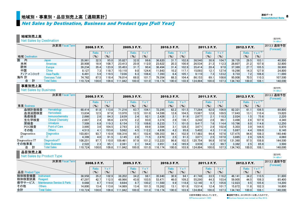### 地域別・事業別・品目別売上高[通期累計]  $\text{Hence} \left( \text{Tr} \left( \text{Tr} \left( \text{Tr} \left( \text{Tr} \left( \text{Tr} \left( \text{Tr} \left( \text{Tr} \left( \text{Tr} \left( \text{Tr} \left( \text{Tr} \left( \text{Tr} \left( \text{Tr} \left( \text{Tr} \left( \text{Tr} \left( \text{Tr} \left( \text{Tr} \left( \text{Tr} \left( \text{Tr} \left( \text{Tr} \left( \text{Tr} \left( \text{Tr} \left( \text{Tr} \left( \text{Tr} \left( \text{Tr}$

### Net Sales by Destination, Business and Product type [Full Year]

#### 地域別売上高

Net Sales by Destination

|                | 決算期 Fiscal Term    |        | 2008.3 F.Y.      |       |        | 2009.3 F.Y. |       |         | 2010.3 F.Y. |       |         | 2011.3 F.Y. |       |         | 2012.3 F.Y.      |                  | 2013.3 通期予想<br>(Forecast) |
|----------------|--------------------|--------|------------------|-------|--------|-------------|-------|---------|-------------|-------|---------|-------------|-------|---------|------------------|------------------|---------------------------|
|                |                    |        | Ratio            | YoY   |        | Ratio       | YoY   |         | Ratio       | YoY   |         | Ratio       | YoY   |         | Ratio            | YoY <sup>*</sup> |                           |
| 地域 Destination |                    |        | (9)              | (96)  |        | (9)         | (9)   |         | (9)         | (9)   |         | (9)         | (9)   |         | (9)              | (9)              |                           |
| 国<br>内         | Japan              | 35,961 | 32.5             | 95.0  | 35,827 | 32.0        | 99.6  | 36.820  | 31.7        | 102.8 | 38.540  | 30.9        | 104.7 | 39.735  | 29.5             | 103.1            | 40.500                    |
| 米州             | Americas           | 20.908 | 18.9             | 108.7 | 23.413 | 20.9        | 112.0 | 23.622  | 20.3        | 100.9 | 26.534  | 21.3        | 112.3 | 28.607  | 21.2             | 107.8            | 32.800                    |
| 欧州             | Europe             | 39,234 | 35.4             | 123.9 | 35.453 | 31.7        | 90.4  | 36.494  | 31.4        | 102.9 | 35.414  | 28.4        | 97.0  | 37,369  | 27.7             | 105.5            | 38,900                    |
| 中国             | China              | 8,127  | 7.3 <sub>1</sub> | 118.7 | 10.110 | 9.0         | 124.4 | 11.843  | 10.2        | 117.1 | 15.093  | 12.1        | 127.4 | 19.298  | 14.3             | 127.9            | 24.800                    |
| アジア・パシフィック     | Asia-Pacific       | 6.491  | 5.9              | 119.5 | 7.036  | 6.3         | 108.4 | 7.393   | 6.4         | 105.1 | 9.110   | 7.3         | 123.2 | 9.733   | 7.2 <sub>1</sub> | 106.8            | 11.000                    |
| 海外 計           | Overseas Total     | 74.762 | 67.5             | 18.4  | 76.014 | 68.0        | 101.7 | 79,354  | 68.3        | 104.4 | 86.153  | 69.1        | 108.6 | 95.008  | 70.5             | 110.3            | 107,500                   |
| 台              | <b>Total Sales</b> | 10.724 | 100.0            | 109.6 | 11.842 | 100.0       | 101.0 | 116.174 | 100.0       | 103.9 | 124.694 | 100.0       | 107.3 | 134.743 | 100.0            | 108.1            | 148,000                   |

#### 事業別売上高

Net Sales by Business

|                | 決算期 Fiscal Term           |         | 2008.3 F.Y. |       |         | 2009.3 F.Y. |       |         | 2010.3 F.Y. |       |         | 2011.3 F.Y.               |       |         | 2012.3 F.Y. |                      | 2013.3 通期予想<br>(Forecast) |
|----------------|---------------------------|---------|-------------|-------|---------|-------------|-------|---------|-------------|-------|---------|---------------------------|-------|---------|-------------|----------------------|---------------------------|
|                |                           |         | Ratio       | YoY   |         | Ratio       | YoY   |         | Ratio       | YoY   |         | Ratio                     | YoY   |         | Ratio       | YoY <sup>*</sup>     |                           |
| 事業 Business    |                           |         | (% )        | (9)   |         | $(9)_{0}$   | (9)   |         | (9)         | (9)   |         | $\gamma$ <sub>0</sub> $)$ | (9)   |         | (96)        | (9)                  |                           |
| 血球計数検査         | Hematology                | 68.414  | 61.8        | 113.6 | 71.216  | 63.7        | 104.1 | 72.295  | 62.2        | 101.5 | 77.284  | 62.0                      | 106.9 | 82.321  | 61.1        | 106.5                | 89.800                    |
| 血液凝固検査         | <b>Hemostasis</b>         | 13.834  | 12.5        | 97.8  | 13.970  | 12.5        | 101.0 | 14.599  | 12.6        | 104.5 | 15.987  | 12.8                      | 109.5 | 7.643   | 13.1        | 110.4                | 19,820                    |
| 免疫検査           | <b>Immunochemistry</b>    | 2,866   | 2.6         | 84.3  | 2,639   | 2.4         | 92.1  | 2.426   | 2.1         | 91.9  | 2,677   | 2.1                       | 110.3 | 2.024   | 1.5         | 75.6                 | 2.220                     |
| 生化学検査          | <b>Clinical Chemistry</b> | 2,667   | 2.4         | 96.6  | 2,479   | 2.2         | 93.0  | 3.374   | 2.9         | 136.1 | 3,242   | 2.6                       | 96.1  | 3.498   | 2.6         | 107.9                | 4.340                     |
| 尿検査            | <b>Urinalysis</b>         | 7,509   | 6.8         | 119.3 | 8,154   | 7.3         | 108.6 | 8,233   | 7.1         | 101.0 | 9,417   | 7.6                       | 114.4 | 10.796  | 8.0         | 114.6                | 12,250                    |
| POC検査          | <b>Point of Care</b>      | 3,995   | 3.6         | 104.5 | 2.793   | 2.5         | 69.9  | 3,584   | 3.1         | 128.3 | 3,671   | 2.9                       | 102.4 | 5.303   | 3.9         | 144.5                | 5.870                     |
| その他            | <b>Others</b>             | 4.513   | 4.1         | 153.6 | 5.062   | 4.5         | 112.2 | 4.839   | 4.2         | 95.6  | 5.402   | 4.3                       | 111.6 | 5.887   | 4.4         | 109.0 <mark>l</mark> | 6.140                     |
| Diagnostics    | <b>Diagnostics</b>        | 103.801 | 93.7        | 110.9 | 106.316 | 95.1        | 102.4 | 109.353 | 94.1        | 102.9 | 117.683 | 94.4                      | 107.6 | 127.475 | 94.6        | 108.3                | 140.440                   |
|                |                           | 4,399   | 4.0         | 91.5  | 3,145   | 2.8         | 71.5  | 2.870   | 2.5         | 91.3  | 3,071   | 2.5                       | 107.0 | 3.885   | 2.9         | 126.5                | 4.060                     |
| Diagnostics/IT | Diagnostics/IT            | 108.201 | 97.7        | 10.0  | 109.461 | 97.9        | 101.2 | 12.223  | 96.6        | 102.5 | 120.754 | 96.8                      | 107.6 | 131.360 | 97.5        | 108.8                | 144.500                   |
| その他事業          | <b>Other Business</b>     | 2.522   | 2.3         | 95.1  | 2,381   | 2.1         | 94.4  | 3.951   | 3.4         | 165.9 | 3,939   | 3.2                       | 99.7  | 3.382   | 2.5         | 85.9                 | 3.500                     |
| 合              | <b>Total Sales</b>        | 10.724  | 100.0       | 109.6 | 111.842 | 100.0       | 101.0 | 116.174 | 100.0       | 103.9 | 124.694 | 100.0                     | 107.3 | 134.743 | 100.0       | 108.1                | 148.000                   |

#### 品目別売上高

Net Sales by Product Type

| 決算期 Fiscal Term                       |        | 2008.3 F.Y. |                 |        | 2009.3 F.Y. |                    |        | 2010.3 F.Y. |       |         | 2011.3 F.Y.   |        |         | 2012.3 F.Y. |                  | 2013.3 通期予想<br>(Forecast) |
|---------------------------------------|--------|-------------|-----------------|--------|-------------|--------------------|--------|-------------|-------|---------|---------------|--------|---------|-------------|------------------|---------------------------|
|                                       |        | Ratio       | YoY             |        | Ratio       | YoY                |        | Ratio       | YoY   |         |               | YoY    |         | Ratic       | YoY <sup>*</sup> |                           |
| 品目 Product Type                       |        | (%          | $\mathcal{O}_6$ |        | (9)         | (9)                |        | (9)         | (9)   |         | $\frac{9}{6}$ | (9)    |         | (9)         | (9)              |                           |
| 検体検査機器<br>Instrument                  | 38,958 | 35.2        | 102.9           | 38.202 | 34.2        | 98.1               | 35.940 | 30.9        | 94.1  | 41.748  | 33.5          | 116.2  | 46.141  | 34.2        | 110.5            | 51.600                    |
| 検体検査試薬<br>Reagent                     | 47.297 | 42.7        | 112.5           | 48.966 | 43.8        | 103.5              | 53.471 | 46.0        | 109.2 | 55.290  | 44.3          | 103.4  | 59.905  | 44.5        | 108.3            | 65,400                    |
| 保守サービス<br>Maintenance Service & Parts | 9,668  |             | 119.0           | 9,684  |             | 100.2 <sub>1</sub> | 1.500  | 9.9         | 18.8  | 12.140  | 9.7           | 105.6  | 12.823  | 9.5         | 105.6            | 14.200                    |
| その他<br>Others                         | 14.800 | 13.4        | 113.6           | 14.989 | 13.4        | 101.3              | 15.262 | 13.1        | 101.8 | 15.514  | 12.4          | 101.7. | 5.872   | 11.8        | 102.3            | 16.800                    |
| 合計<br><b>Total Sales</b>              | 10.724 | 100.0       | 109.6           | 11.842 | 100.0       | 101.0              | 16.174 | 100.0       | 103.9 | 124.694 | 100.0         | 107.3  | 134.743 | 100.0       | 108.1            | 148,000                   |

※前年同期を100%としています。 ●通期予想は、2012年5月に公表したものです。 ※Previous period = 100% ●Business forecast was revised on May 2012.

(百万円) $(\frac{2}{3}$  million)

(百万円)  $(\nparallel$  million)

(百万円)  $(\frac{1}{2})$  million)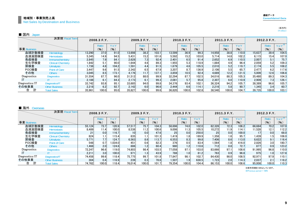(百万円) $(\hat{\mathbf{Y}}$  million)

| ■ 国内<br>Japan  |                           |        |             |       |        |             |       |        |             |       |        |             |       |        |             |          |
|----------------|---------------------------|--------|-------------|-------|--------|-------------|-------|--------|-------------|-------|--------|-------------|-------|--------|-------------|----------|
|                | 決算期 Fiscal Term           |        | 2008.3 F.Y. |       |        | 2009.3 F.Y. |       |        | 2010.3 F.Y. |       |        | 2011.3 F.Y. |       |        | 2012.3 F.Y. |          |
|                |                           |        | Ratio       | YoY   |        | Ratio       | YoY   |        | Ratio       | YoY   |        | Ratio       | YoY   |        | Ratio       | $Y_0Y^*$ |
| 事業 Business    |                           |        | (9)         | (% )  |        | (9)         | (9)   |        | $($ % $)$   | (% )  |        | (9)         | (% )  |        | (%)         | (9)      |
| 血球計数検査         | Hematology                | 13,290 | 37.0        | 91.0  | 13,698 | 38.2        | 103.1 | 13,599 | 36.9        | 99.3  | 14,958 | 38.8        | 110.0 | 15,637 | 39.4        | 104.5    |
| 血液凝固検査         | <b>Hemostasis</b>         | 5,345  | 14.9        | 94.5  | 5.431  | 15.2        | 101.6 | 5,592  | 15.2        | 103.0 | 5.714  | 14.8        | 102.2 | 6,115  | 15.4        | 107.0    |
| 免疫検査           | Immunochemistry           | 2,845  | 7.9         | 84.1  | 2.628  | 7.3         | 92.4  | 2,401  | 6.5         | 91.4  | 2.652  | 6.9         | 110.5 | 2,007  | 5.1         | 75.7     |
| 生化学検査          | <b>Clinical Chemistry</b> | 1,842  | 5.1         | 90.0  | 1,644  | 4.6         | 89.3  | 1,955  | 5.3         | 118.9 | 1,884  | 4.9         | 96.4  | 2,059  | 5.2         | 109.3    |
| 尿検査            | <b>Urinalysis</b>         | 1,738  | 4.8         | 104.2 | 1,591  | 4.4         | 91.5  | 1,679  | 4.6         | 105.5 | 2.010  | 5.2         | 119.7 | 2,174  | 5.5         | 108.2    |
| POC検査          | Point of Care             | 3.447  | 9.6         | 91.5  | 2.342  | 6.5         | 67.9  | 3,207  | 8.7         | 136.9 | 2.106  | 5.5         | 65.7  | 2,477  | 6.2         | 117.6    |
| その他            | <b>Others</b>             | 3.045  | 8.5         | 173.1 | 4.176  | 11.7        | 137.1 | 3,859  | 10.5        | 92.4  | 4.689  | 12.2        | 121.5 | 5.009  | 12.6        | 106.8    |
| Diagnostics    | <b>Diagnostics</b>        | 31.554 | 87.7        | 96.0  | 31,512 | 88.0        | 99.9  | 32,294 | 87.7        | 102.5 | 34,016 | 88.3        | 105.3 | 35,480 | 89.3        | 104.3    |
|                |                           | 2.188  | 6.1         | 84.3  | 2.173  | 6.1         | 99.3  | 2.081  | 5.7         | 95.8  | 2.307  | 6.0         | 110.9 | 2,909  | 7.3         | 126.1    |
| Diagnostics/IT | Diagnostics/IT            | 33,742 | 93.8        | 95.1  | 33.685 | 94.0        | 99.8  | 34,376 | 93.4        | 102.1 | 36,324 | 94.2        | 105.7 | 38,389 | 96.6        | 105.7    |
| その他事業          | <b>Other Business</b>     | 2,218  | 6.2         | 92.7  | 2,142  | 6.0         | 96.6  | 2,444  | 6.6         | 114.1 | 2,216  | 5.8         | 90.7  | 1,345  | 3.4         | 60.7     |
| 合              | <b>Total Sales</b>        | 35.961 | 100.0       | 95.0  | 35.827 | 100.0       | 99.6  | 36.820 | 100.0       | 102.8 | 38.540 | 100.0       | 104.7 | 39.735 | 100.0       | 103.1    |

#### ■ 海外 Overseas

|                | 決算期 Fiscal Term           |        | 2008.3 F.Y.      |         |                 | 2009.3 F.Y.       |       |        | 2010.3 F.Y. |       |        | 2011.3 F.Y. |       |        | 2012.3 F.Y. |          |
|----------------|---------------------------|--------|------------------|---------|-----------------|-------------------|-------|--------|-------------|-------|--------|-------------|-------|--------|-------------|----------|
|                |                           |        | Ratio            | YoY     |                 | Ratio             | YoY   |        | Ratio       | YoY   |        | Ratio       | YoY   |        | Ratio       | $Y_0Y^*$ |
| 事業 Business    |                           |        | (9)              | (%)     |                 | (%)               | (9)   |        | (9)         | (% )  |        | (%)         | (9)   |        | (%)         | (9)      |
| 血球計数検査         | Hematology                | 55.124 | 73.7             | 120.9   | 57.517          | 75.7              | 104.3 | 58.696 | 74.0        | 102.0 | 62.326 | 72.3        | 106.2 | 66.684 | 70.2        | 107.0    |
| 血液凝固検査         | <b>Hemostasis</b>         | 8,489  | 11.4             | 100.0   | 8,538           | 11.2 <sub>1</sub> | 100.6 | 9,006  | 11.3        | 105.5 | 10,272 | 11.9        | 114.1 | 11,528 | 12.1        | 112.2    |
| 免疫検査           | <b>Immunochemistry</b>    |        | 0.0              | 116.7   | 10 <sup>1</sup> | 0.0               | 47.6  | 25     | 0.0         | 250.0 | 25     | 0.0         | 100.0 |        | 0.0         | 68.0     |
| 生化学検査          | <b>Clinical Chemistry</b> | 824    | ا1.1             | 115.4   | 835             | 1.1               | 101.3 | 1.419  |             | 169.9 | 1.358  | 1.6         | 95.7  | 1,439  | 1.5         | 106.0    |
| 尿検査            | <b>Urinalysis</b>         | 5.771  | 7.7              | 124.7   | 6.563           | 8.6               | 113.7 | 6.553  | 8.3         | 99.8  | 7.406  | 8.6         | 113.0 | 8.622  | 9.1         | 116.4    |
| POC検査          | <b>Point of Care</b>      | 548    | 0.7 <sub>l</sub> | 0.034.0 | 451             | 0.6               | 82.3  | 376    | 0.5         | 83.4  | 1.564  | 1.8         | 416.0 | 2,826  | 3.0         | 180.7    |
| その他            | <b>Others</b>             | 1.468  | 2.0              | 124.6   | 886             | 1.2 <sub>1</sub>  | 60.4  | 980    | 1.2         | 110.6 | 712    | 0.8         | 72.7  | 877    | 0.9         | 123.2    |
| Diagnostics    | <b>Diagnostics</b>        | 72,247 | 96.6             | 119.0   | 74,803          | 98.4              | 103.5 | 77,058 | 97.1        | 103.0 | 83,666 | 97.1        | 108.6 | 91,995 | 96.8        | 110.0    |
|                |                           | 2.211  | 3.0              | 100.0   | 971             | 1.3               | 43.9  | 788    | 1.0         | 81.2  | 763    | 0.9         | 96.8  | 975    | 1.0         | 127.8    |
| Diagnostics/IT | Diagnostics/IT            | 74.458 | 99.6             | 118.4   | 75.775          | 99.7              | 101.8 | 77.847 | 98.1        | 102.7 | 84.430 | 98.0        | 108.5 | 92.971 | 97.9        | 110.1    |
| その他事業          | <b>Other Business</b>     | 304    | 0.4              | 116.9   | 239             | 0.3               | 78.6  | 1.507  | 1.9         | 630.5 | 1.723  | 2.0         | 114.3 | 2.037  | 2.1         | 118.2    |
| 計<br>合         | <b>Total Sales</b>        | 74.762 | 100.0            | 118.4   | 76.014          | 100.0             | 101.7 | 79.354 | 100.0       | 104.4 | 86.153 | 100.0       | 108.6 | 95.008 | 100.0       | 110.3    |

※Previous period = 100% ※前年同期を100%としています。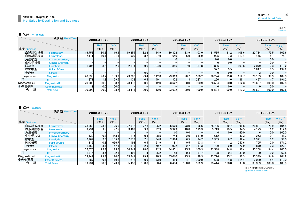|                                                     | 連結デー                     |  |
|-----------------------------------------------------|--------------------------|--|
| 地域別・事業別売上高<br>Net Sales by Destination and Business | <b>Consolidated Data</b> |  |

**Other Business** 

Total Sales

| ■ 米州<br>Americas |                           |        |             |       |         |             |       |        |             |       |        |                  |       |        |                  |          |
|------------------|---------------------------|--------|-------------|-------|---------|-------------|-------|--------|-------------|-------|--------|------------------|-------|--------|------------------|----------|
|                  | 決算期 Fiscal Term           |        | 2008.3 F.Y. |       |         | 2009.3 F.Y. |       |        | 2010.3 F.Y. |       |        | 2011.3 F.Y.      |       |        | 2012.3 F.Y.      |          |
|                  |                           |        | Ratio       | YoY   |         | Ratio       | YoY   |        | Ratio       | YoY   |        | Ratio            | YoY   |        | Ratio            | $Y_0Y^*$ |
| 事業 Business      |                           |        | (%)         | (% )  |         | (%)         | (% )  |        | (9)         | (9)   |        | (9)              | (% )  |        | (% )             | (9)      |
| 血球計数検査           | <b>Hematology</b>         | 16.758 | 80.2        | 116.6 | 19.254  | 82.2        | 114.9 | 19,822 | 83.9        | 103.0 | 21.535 | 81.2             | 108.6 | 22.734 | 79.5             | 105.6    |
| 血液凝固検査           | <b>Hemostasis</b>         | 2.171  | 10.4        | 81.5  | ا909. ا | 8.2         | 87.9  | 1.640  | 6.9         | 85.9  | 925. ا | 7.3 <sub>1</sub> | 117.4 | 1.445  | 5.1              | 75.1     |
| 免疫検査             | <b>Immunochemistry</b>    |        |             |       |         |             |       |        |             |       | 0.0    | 0.0              |       |        | 0.0              |          |
| 生化学検査            | <b>Clinical Chemistry</b> |        |             |       |         |             |       |        |             |       |        | 0.0              |       |        | 0.0              |          |
| 尿検査              | <b>Urinalysis</b>         | 1.705  | 8.2         | 92.5  | 2.114   | 9.0         | 124.0 | 1.856  | 7.9         | 87.8  | 1,886  | 7.1              | 101.6 | 2.079  | 7.3              | 110.2    |
| POC検査            | Point of Care             |        |             |       |         |             |       |        |             |       | 927    | 3.5              |       | 1.847  | 6.5              | 199.2    |
| その他              | <b>Others</b>             |        |             |       |         | 0.0         |       |        |             |       |        | 0.0              |       |        | 0.0              |          |
| Diagnostics      | <b>Diagnostics</b>        | 20.635 | 98.7        | 109.3 | 23.280  | 99.4        | 112.8 | 23.319 | 98.7        | 100.2 | 26.274 | 99.0             | 112.7 | 28.109 | 98.3             | 107.0    |
|                  |                           | 271    | 1.3         | 79.5  | 133     | 0.6         | 49.1  | 302    | 1.3         | 227.1 | 260    | 1.0              | 86.1  | 497    | 1.7 <sub>l</sub> | 191.2    |

Diagnostics/IT 20,906 100.0 108.7 23,413 100.0 112.0 23,622 100.0 100.9 26,534 100.0 112.3 28,607 100.0 107.8

1 0.0 100.0 − − − − − − − − 0 0.0 − 0 0.0 0.0 −

20,908 100.0 108.7 23,413 100.0 112.0 23,622 100.0 100.9 26,534 100.0 112.3 28,607 100.0 107.8

#### ■ 欧州 Europe

Diagnostics/IT

その他事業合 計

|                | 決算期 Fiscal Term           |        | 2008.3 F.Y. |       |        | 2009.3 F.Y. |      |        | 2010.3 F.Y. |       |        | 2011.3 F.Y.      |       |        | 2012.3 F.Y.  |          |
|----------------|---------------------------|--------|-------------|-------|--------|-------------|------|--------|-------------|-------|--------|------------------|-------|--------|--------------|----------|
|                |                           |        | Ratio       | YoY   |        | Ratio       | YoY  |        | Ratio       | YoY   |        | Ratio            | YoY   |        | <b>Ratio</b> | $Y_0Y^*$ |
| 事業 Business    |                           |        | (%)         | (% )  |        | (% )        | (% ) |        | (%)         | (9)   |        | (9)              | (9)   |        | $($ % $)$    | (% )     |
| 血球計数検査         | Hematology                | 28.960 | 73.8        | 126.0 | 27.572 | 77.8        | 95.2 | 26.629 | 73.0        | 96.6  | 25.736 | 72.7             | 96.6  | 26.881 | 71.9         | 104.4    |
| 血液凝固検査         | <b>Hemostasis</b>         | 3.734  | 9.5         | 92.5  | 3.469  | 9.8         | 92.9 | 3.929  | 10.8        | 113.3 | 3.713  | 10.5             | 94.5  | 4.179  | 11.2         | 112.6    |
| 免疫検査           | Immunochemistry           |        |             |       |        |             |      |        | 0.0         |       |        | 0.0              | 60.0  |        | 0.0          | 100.0    |
| 生化学検査          | <b>Clinical Chemistry</b> | 130    | 0.3         | 448.3 | 115    | 0.3         | 88.5 | 744    | 2.0         | 647.0 | 612    |                  | 82.3  | 253    | 0.7          | 41.3     |
| 尿検査            | <b>Urinalysis</b>         | 2,969  | 7.6         | 155.2 | 2.518  | 7.1         | 84.8 | 2,384  | 6.5         | 94.7  | 2.369  | 6.7              | 99.4  | 2,321  | 6.2          | 98.0     |
| POC検査          | <b>Point of Care</b>      | 312    | 0.8         | 636.7 | 193    | 0.5         | 61.9 | 181    | 0.5         | 93.8  | 441    | 1.2 <sub>1</sub> | 243.6 | 755    | 2.0          | 171.2    |
| その他            | <b>Others</b>             | 1.463  | 3.7         | 157.5 | 873    | 2.5         | 59.7 | 972    | 2.7         | 111.3 | 709    | 2.0              | 72.9  | 870    | 2.3          | 122.7    |
| Diagnostics    | <b>Diagnostics</b>        | 37.570 | 95.8        | 125.5 | 34.742 | 98.0        | 92.5 | 34.851 | 95.5        | 100.3 | 33,588 | 94.8             | 96.4  | 35,268 | 94.4         | 105.0    |
|                |                           | 1.376  | 3.5         | 92.8  | 498    | 1.4         | 36.2 | 158    | 0.4         | 31.7  | 128    | 0.4              | 81.0  | 80     | 0.2          | 62.5     |
| Diagnostics/IT | Diagnostics/IT            | 38.947 | 99.3        | 124.0 | 35.241 | 99.4        | 90.5 | 35.010 | 95.9        | 99.3  | 33.716 | 95.2             | 96.3  | 35.349 | 94.6         | 104.8    |
| その他事業          | <b>Other Business</b>     | 287    | 0.7         | 119.1 | 212    | 0.6         | 73.9 | 1,484  | 4.1         | 700.0 | 1.698  | 4.8              | 114.4 | 2.020  | 5.4          | 119.0    |
| 合              | <b>Total Sales</b>        | 39.234 | 100.0       | 123.9 | 35.453 | 100.0       | 90.4 | 36.494 | 100.0       | 102.9 | 35.414 | 100.0            | 97.0  | 37.369 | 100.0        | 105.5    |

※Previous period = 100% ※前年同期を100%としています。 (百万円)<br>(¥ million)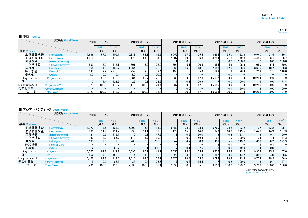| ■ 中国<br>China  |                           |       |             |         |        |                  |       |        |             |       |        |             |       |        |             |          |
|----------------|---------------------------|-------|-------------|---------|--------|------------------|-------|--------|-------------|-------|--------|-------------|-------|--------|-------------|----------|
|                | 決算期 Fiscal Term           |       | 2008.3 F.Y. |         |        | 2009.3 F.Y.      |       |        | 2010.3 F.Y. |       |        | 2011.3 F.Y. |       |        | 2012.3 F.Y. |          |
|                |                           |       | Ratio       | YoY     |        | Ratio            | YoY   |        | Ratio       | YoY   |        | Ratio       | YoY   |        | Ratio       | $Y_0Y^*$ |
| 事業 Business    |                           |       | (% )        | (9)     |        | (9)              | (9)   |        | (9)         | (%)   |        | (% )        | (%)   |        | (%)         | (% )     |
| 血球計数検査         | Hematology                | 4.636 | 57.0        | 105.7   | 5.388  | 53.3             | 116.2 | 6.755  | 57.0        | 125.4 | 8.294  | 55.0        | 122.8 | 9.940  | 51.5        | 119.8    |
| 血液凝固検査         | <b>Hemostasis</b>         | 1.616 | 19.9        | 170.6   | 2.170  | 21.5             | 134.3 | 2.307  | 19.5        | 106.3 | 3.284  | 21.8        | 142.3 | 4,455  | 23.1        | 135.7    |
| 免疫検査           | <b>Immunochemistry</b>    |       |             |         |        |                  |       |        | 0.0         |       |        | 0.0         | 200.0 |        | 0.0         | 100.0    |
| 生化学検査          | <b>Clinical Chemistry</b> | 562   | 6.9         | 116.1   | 601    | 5.9 <sup>1</sup> | 106.9 | 604    | 5.1         | 100.5 | 654    | 4.3         | 108.3 | 1.050  | 5.4         | 160.6    |
| 尿検査            | <b>Urinalysis</b>         | 964   | 11.9        | 139.7   | 1.664  | 16.5             | 172.6 | 1.965  | 16.6        | 118.1 | 2.653  | 17.6        | 135.0 | 3,615  | 18.7        | 136.3    |
| POC検査          | Point of Care             | 235   | 2.9         | 5.875.0 | 257    | 2.5              | 109.4 | 195    |             | 75.9  | 188    | 1.2         | 96.4  | 218    | 1.1         | 116.0    |
| その他            | <b>Others</b>             | 1.0   | 0.0         | 0.4     | 1.0    | 0.0              | 100.0 |        |             |       |        | 0.0         |       |        |             |          |
| Diagnostics    | <b>Diagnostics</b>        | 8,017 | 98.6        | 118.6   | 10.084 | 99.7             | 125.8 | 11.830 | 99.9        | 117.3 | 15.077 | 99.9        | 127.4 | 19.284 | 99.9        | 127.9    |
|                | IT                        | 110   | 1.4         | 123.6   | 26     | 0.31             | 23.6  |        | 0.1         | 26.9  |        | 0.0         | 100.0 |        | 0.0         | 71.4     |
| Diagnostics/IT | Diagnostics/IT            | 8.127 | 100.0       | 118.7   | 10.110 | 100.0            | 124.4 | 11.837 | 99.9        | 117.1 | 15.085 | 99.9        | 127.4 | 19.290 | 100.0       | 127.9    |
| その他事業          | <b>Other Business</b>     |       |             |         |        |                  |       |        | 0.0         |       |        | 0.1         | 160.0 |        | 0.0         | 100.0    |
| 台              | <b>Total Sales</b>        | 8.127 | 100.0       | 18.7    | 10.110 | 100.0            | 124.4 | 11.843 | 100.0       | 117.1 | 15.093 | 100.0       | 127.4 | 19.298 | 100.0       | 127.9    |

#### ■ $\pm$

#### ■ アジア・パシフィック Asia-Pacific

|                | 決算期 Fiscal Term           |       | 2008.3 F.Y. |       |                 | 2009.3 F.Y. |       |       | 2010.3 F.Y. |       |       | 2011.3 F.Y.      |                      |       | 2012.3 F.Y. |          |
|----------------|---------------------------|-------|-------------|-------|-----------------|-------------|-------|-------|-------------|-------|-------|------------------|----------------------|-------|-------------|----------|
|                |                           |       | Ratio       | YoY   |                 | Ratio       | YoY   |       | Ratio       | YoY   |       | Ratio            | YoY                  |       | Ratio       | $Y_0Y^*$ |
| 事業 Business    |                           |       | (9)         | (%)   |                 | (%)         | (9)   |       | (%)         | (9)   |       | (9)              | (9)                  |       | (% )        | (%)      |
| 血球計数検査         | <b>Hematology</b>         | 4,770 | 73.5        | 123.2 | 5.303           | 75.4        | 111.2 | 5.488 | 74.2        | 103.5 | 6.760 | 74.2             | 123.2                | 7,127 | 73.2        | 105.4    |
| 血液凝固検査         | <b>Hemostasis</b>         | 966   | 14.9        | 114.7 | 990             | 14.1        | 102.5 | 1.129 | 15.3        | 114.0 | 1.349 | 14.8             | 119.5                | 1.447 | 14.9        | 107.3    |
| 免疫検査           | Immunochemistry           | 21    | 0.3         | 116.7 | 10 <sup>1</sup> | 0.11        | 47.6  | 13    | 0.2         | 130.0 | 16    | 0.2              | 123.1                |       | 0.1         | 50.0     |
| 生化学検査          | <b>Clinical Chemistry</b> | 132   | 2.0         | 65.7  | 118             |             | 89.4  |       | 0.9         | 59.3  |       | 1.0 <sub>l</sub> | 130.0 <mark>1</mark> | 134   | 1.4         | 147.3    |
| 尿検査            | <b>Urinalysis</b>         | 130   | 2.0         | 72.6  | 265             | 3.81        | 203.8 | 347   | 4.7         | 130.9 | 497   | 5.5              | 143.2                | 606   | 6.2         | 121.9    |
| POC検査          | <b>Point of Care</b>      |       |             |       |                 |             |       |       |             |       |       |                  |                      |       | 0.1         |          |
| その他            | <b>Others</b>             |       | 0.0         | 66.7  |                 | 0.1         | 400.0 |       | 0.1         | 87.5  |       | 0.0              | 42.9                 |       | 0.0         |          |
| Diagnostics    | <b>Diagnostics</b>        | 6,023 | 92.8        | 117.7 | 6.695           | 95.2        | 111.2 | 7,056 | 95.4        | 105.4 | 8.726 | 95.8             | 123.7                | 9,333 | 95.9        | 107.0    |
|                | IT                        | 452   | 7.0         | 152.2 | 314             | 4.5         | 69.5  | 320   | 4.3         | 101.9 | 367   | 4.0              | 114.7                | 391   | 4.0         | 106.5    |
| Diagnostics/IT | Diagnostics/IT            | 6.476 | 99.8        | 119.6 | 7.010           | 99.6        | 108.2 | 7.376 | 99.8        | 105.2 | 9.093 | 99.8             | 123.3                | 9.724 | 99.9        | 106.9    |
| その他事業          | <b>Other Business</b>     |       | 0.2         | 88.2  | 26              | 0.4         | 173.3 |       | 0.2         | 65.4  |       | 0.2              | 100.0                |       | 0.1         | 47.1     |
| 計<br>合         | <b>Total Sales</b>        | 6.491 | 100.0       | 119.5 | 7.036           | 100.0       | 108.4 | 7,393 | 100.0       | 105.1 | 9.110 | 100.0            | 123.2                | 9.733 | 100.0       | 106.8    |

※前年同期を100%としています。 ※Previous period = 100%

(百万円) (\ million)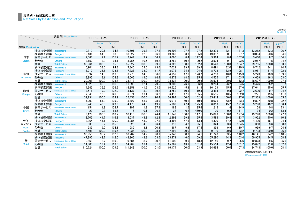|                 |               | 決算期 Fiscal Term                                         |                 | 2008.3 F.Y.   |                |                 | 2009.3 F.Y. |                |                  | 2010.3 F.Y.  |                |                  | 2011.3 F.Y. |                |                  | 2012.3 F.Y. |                  |
|-----------------|---------------|---------------------------------------------------------|-----------------|---------------|----------------|-----------------|-------------|----------------|------------------|--------------|----------------|------------------|-------------|----------------|------------------|-------------|------------------|
|                 |               |                                                         |                 | Ratio         | YoY            |                 | Ratio       | YoY            |                  | <b>Ratio</b> | YoY            |                  | Ratio       | YoY            |                  | Ratio       | YoY <sup>*</sup> |
| 地域 Destination  |               |                                                         |                 | (9)           | (%)            |                 | (%)         | (%)            |                  | $($ % $)$    | (%)            |                  | (9)         | (%)            |                  | (%)         | (%)              |
|                 | 検体検査機器        | nstrument                                               | 10.812          | 30.1          | 94.7           | 10.501          | 29.3        | 97.1           | 10.202           | 27.7         | 97.2           | 12.379           | 32.1        | 121.3          | 13,212           | 33.3        | 106.7            |
|                 | 検体検査試薬        | Reagent                                                 | 19,431          | 54.0          | 93.8           | 18,827          | 52.5        | 96.9           | 19,763           | 53.7         | 105.0          | 19,312           | 50.1        | 97.7           | 20,094           | 50.6        | 104.0            |
| 日本              | 保守サービス        | Maintenance Service & Parts                             | 2,567           | 7.1           | 105.7          | 2,744           | 7.7         | 106.9          | 3,090            | 8.4          | 112.6          | 3,324            | 8.6         | 107.6          | 3.460            | 8.7         | 104.1            |
| Japan           | その他           | <b>Others</b>                                           | 3.150           | 8.8           | 95.1           | 3,755           | 10.5        | 119.2          | 3,763            | 10.2         | 100.2          | 3,524            | 9.1         | 93.6           | 2,967            | 7.5         | 84.2             |
|                 | 合計            | <b>Total Sales</b>                                      | 35.961          | 100.0         | 95.0           | 35.827          | 100.0       | 99.6           | 36.820           | 100.0        | 102.8          | 38.540           | 100.0       | 104.7          | 39.735           | 100.0       | 103.1            |
|                 | 検体検査機器        | <b>Instrument</b>                                       | 6.904           | 33.0          | 94.3           | 7.845           | 33.5        | 113.6          | 7,021            | 29.7         | 89.5           | 8,491            | 32.0        | 120.9          | 9.742            | 34.1        | 114.7            |
|                 | 検体検査試薬        | Reagent                                                 | 6,917           | 33.1          | 123.8          | 7.723           | 33.0        | 111.7          | 8,075            | 34.2         | 104.6          | 8,728            | 32.9        | 108.1          | 8.981            | 31.4        | 102.9            |
| 米州              | 保守サービス        | <b>Maintenance Service &amp; Parts</b>                  | 3,092           | 14.8          | 117.6          | 3.278           | 14.0        | 106.0          | 4,152            | 17.6         | 126.7          | 4.788            | 18.0        | 115.3          | 5.223            | 18.3        | 109.1            |
| <b>Americas</b> | その他           | <b>Others</b>                                           | 3,993           | 19.1          | 108.3          | 4.566           | 19.5        | 114.4          | 4,373            | 18.5         | 95.8           | 4,525            | 17.1        | 103.5          | 4.659            | 16.3        | 103.0            |
|                 | 合計            | <b>Total Sales</b>                                      | 20.908          | 100.0         | 108.7          | 23.413          | 100.0       | 112.0          | 23.622           | 100.0        | 100.9          | 26,534           | 100.0       | 112.3          | 28.607           | 100.0       | 107.8            |
|                 | 検体検査機器        | nstrument                                               | 14,326          | 36.5          | 110.6          | 11.390          | 32.1        | 79.5           | 9,800            | 26.9         | 86.0           | 9,264            | 26.2        | 94.5           | 9.426            | 25.2        | 101.7            |
|                 | 検体検査試薬        | Reagent                                                 | 14,343          | 36.6          | 136.9          | 14.851          | 41.9        | 103.5          | 16,525           | 45.3         | 111.3          | 16,129           | 45.5        | 97.6           | 17.041           | 45.6        | 105.7            |
| 欧州              | 保守サービス        | Maintenance Service & Parts                             | 3,516           | 9.0           | 132.0          | 3.137           | 8.8         | 89.2           | 3,758            | 10.3         | 119.8          | 3.485            | 9.8         | 92.7           | 3.630            | 9.7         | 104.2            |
| Europe          | その他           | <b>Others</b>                                           | 7.048           | 18.0          | 126.6          | 6.074           | 17.1        | 86.2           | 6.410            | 17.6         | 105.5          | 6.535            | 18.5        | 102.0          | 7.271            | 19.5        | 111.3            |
|                 | 合計            | <b>Total Sales</b>                                      | 39.234          | 100.0         | 123.9          | 35.453          | 100.0       | 90.4           | 36.494           | 100.0        | 102.9          | 35.414           | 100.0       | 97.0           | 37.369           | 100.0       | 105.5            |
|                 | 検体検査機器        | nstrument                                               | 4.209           | 51.8          | 109.9          | 5.427           | 53.7        | 128.9          | 6.017            | 50.8         | 110.9          | 8.026            | 53.2        | 133.4          | 9.807            | 50.8        | 122.2            |
|                 | 検体検査試薬        | Reagent                                                 | 3,740           | 46.0          | 129.9          | 4.478           | 44.3        | 119.7          | 5.609            | 47.4         | 125.3          | 6,819            | 45.2        | 121.6          | 9.298            | 48.2        | 136.4            |
| 中国              | 保守サービス        | <b>Maintenance Service &amp; Parts</b>                  | 154             | 1.9           | 138.7          | 197             | 1.9         | 127.9          | 188              | 1.6          | 95.4           | 216              | 1.4         | 114.9          | 158              | 0.8         | 73.1             |
| China           | その他           | <b>Others</b>                                           | 23              | 0.3           | 88.5           |                 | 0.1         | 26.1           | 27               | 0.2          | 450.0          | 30               | 0.2         | 111.1          | 34               | 0.2         | 113.3            |
|                 | 合計            | <b>Total Sales</b>                                      | 8,127           | 100.0         | 118.7          | 10,110          | 100.0       | 124.4          | 11.843           | 100.0        | 117.1          | 15.093           | 100.0       | 127.4          | 19,298           | 100.0       | 127.9            |
|                 | 検体検査機器        | nstrument                                               | 2.705           | 41.7          | 116.8          | 3.037           | 43.2        | 112.3          | 2,898            | 39.2         | 95.4           | 3.586            | 39.4        | 123.7          | 3.952            | 40.6        | 110.2            |
| アジア・            | 検体検査試薬        | Reagent                                                 | 2,864           | 44.1          | 120.0          | 3.086           | 43.9        | 107.8          | 3,497            | 47.3         | 113.3          | 4,300            | 47.2        | 123.0          | 4.490            | 46.1        | 104.4            |
| パシフィック          | 保守サービス        | Maintenance Service & Parts                             | 338             | 5.2           | 115.0          | 326             | 4.6         | 96.4           | 310              | 4.2          | 95.1           | 324              | 3.6         | 104.5          | 350              | 3.6         | 108.0            |
| Asia-           | その他           | <b>Others</b>                                           | 583             | 9.0           | 134.3          | 585             | 8.3         | 100.3          | 687              | 9.3          | 117.4          | 898              | 9.9         | 130.7          | 939              | 9.7         | 104.6            |
| Pacific         | 合計            | <b>Total Sales</b>                                      | 6.491           | 100.0<br>35.2 | 119.5          | 7.036           | 100.0       | 108.4          | 7.393            | 100.0        | 105.1          | 9.110            | 100.0       | 123.2          | 9.733            | 100.0       | 106.8            |
|                 | 検体検査機器        | <b>Instrument</b>                                       | 38.958          |               | 102.9          | 38.202          | 34.2        | 98.1           | 35,940           | 30.9         | 94.1           | 41.748           | 33.5        | 116.2          | 46.141           | 34.2        | 110.5            |
|                 | 検体検査試薬        | Reagent                                                 | 47.297          | 42.7          | 112.5          | 48.966          | 43.8        | 103.5          | 53.471           | 46.0         | 109.2          | 55.290           | 44.3        | 103.4          | 59.905           | 44.5        | 108.3            |
| 計<br>Total      | 保守サービス<br>その他 | <b>Maintenance Service &amp; Parts</b><br><b>Others</b> | 9,668<br>14,800 | 8.7<br>13.4   | 119.0<br>113.6 | 9.684<br>14,989 | 8.7<br>13.4 | 100.2<br>101.3 | 11,500<br>15,262 | 9.9<br>13.1  | 118.8<br>101.8 | 12.140<br>15,514 | 9.7<br>12.4 | 105.6<br>101.7 | 12,823<br>15.872 | 9.5<br>11.8 | 105.6<br>102.3   |
|                 | 合計            | <b>Total Sales</b>                                      | 110.724         | 100.0         | 109.6          | 111.842         | 100.0       | 101.0          | 116.174          | 100.0        | 103.9          | 124.694          | 100.0       | 107.3          | 134.743          | 100.0       | 108.1            |
|                 |               |                                                         |                 |               |                |                 |             |                |                  |              |                |                  |             |                |                  |             |                  |

※前年同期を100%としています。

※Previous period = 100%

(百万円)<br>(¥ million)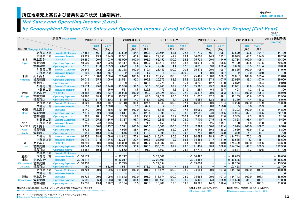### Net Sales and Operating Income (Loss)

#### (百万円)by Geographical Region (Net Sales and Operating Income (Loss) of Subsidiaries in the Region) [Full Year]

|                     |                         |                           |                    |       |        |                    |                          |       |                    |       |       |                    |              |       |                    |       |                           | (¥ million)        |
|---------------------|-------------------------|---------------------------|--------------------|-------|--------|--------------------|--------------------------|-------|--------------------|-------|-------|--------------------|--------------|-------|--------------------|-------|---------------------------|--------------------|
| 決算期 Fiscal Term     |                         |                           | 2008.3 F.Y.        |       |        | 2009.3 F.Y.        |                          |       | 2010.3 F.Y.        |       |       | 2011.3 F.Y.        |              |       | 2012.3 F.Y.        |       | 2013.3 通期予想<br>(Forecast) |                    |
|                     |                         |                           |                    | Ratio | YoY    |                    | Ratio                    | YoY   |                    | Ratio | YoY   |                    | <b>Ratio</b> | YoY   |                    | Ratio | $Y_0Y^*$                  |                    |
|                     | 所在地 Geographical Region |                           |                    | (%)   | $($ %) |                    | (%)                      | (%)   |                    | (%)   | (%)   |                    | (%)          | (%)   |                    | (%)   | (%)                       |                    |
|                     | 外部売上高                   | <b>Sales to Customers</b> | 37,552             | 56.1  | 95.3   | 37,589             | 54.4                     | 100.1 | 38,594             | 58.1  | 102.7 | 41,719             | 55.1         | 108.1 | 43,690             | 52.8  | 104.7                     | 44,100             |
|                     | 内部売上高                   | Intra-area Transfer       | 29,327             | 43.9  | 114.9  | 31.501             | 45.6                     | 107.4 | 27.857             | 41.9  | 88.4  | 34.009             | 44.9         | 122.1 | 39.093             | 47.2  | 114.9                     | 46,200             |
| 日本                  | 売上高 計                   | <b>Total Sales</b>        | 66,880             | 100.0 | 103.0  | 69,090             | 100.0                    | 103.3 | 66.452             | 100.0 | 96.2  | 75,729             | 100.0        | 114.0 | 82,784             | 100.0 | 109.3                     | 90,300             |
| Japan               | 営業費用                    | <b>Operating Expenses</b> | 59,009             | 88.2  | 102.6  | 64,417             | 93.2                     | 109.2 | 63,519             | 95.6  | 98.6  | 68,914             | 91.0         | 108.5 | 74,100             | 89.5  | 107.5                     | 79,500             |
|                     | 営業利益                    | <b>Operating Income</b>   | 7,870              | 11.8  | 105.9  | 4,672              | 6.8                      | 59.4  | 2,932              | 4.4   | 62.8  | 6.815              | 9.0          | 232.4 | 8.683              | 10.5  | 127.4                     | 10,800             |
|                     | 外部売上高                   | <b>Sales to Customers</b> | 20,844             | 99.2  | 108.8  | 23,368             | 100.0                    | 112.1 | 23,443             | 100.0 | 100.3 | 25,476             | 100.0        | 108.7 | 26,855             | 100.0 | 105.4                     | 31,040             |
|                     | 内部売上高                   | Intra-area Transfer       | 165                | 0.8   | 76.7   | $\overline{2}$     | 0.0                      | 1.2   | 6                  | 0.0   | 300.0 | $\overline{4}$     | 0.0          | 66.7  | $\overline{2}$     | 0.0   | 50.0                      | $\Omega$           |
| 米州                  | 売上高 計                   | <b>Total Sales</b>        | 21,010             | 100.0 | 108.4  | 23,370             | 100.0                    | 111.2 | 23.450             | 100.0 | 100.3 | 25.481             | 100.0        | 108.7 | 26.857             | 100.0 | 105.4                     | 31,040             |
| Americas            | 営業費用                    | <b>Operating Expenses</b> | 20,019             | 95.3  | 106.6  | 21,581             | 92.3                     | 107.8 | 20.675             | 88.2  | 95.8  | 22,233             | 87.3         | 107.5 | 23,985             | 89.3  | 107.9                     | 29,000             |
|                     | 営業利益                    | <b>Operating Income</b>   | 991                | 4.7   | 167.1  | 1,789              | 7.7                      | 180.5 | 2.775              | 11.8  | 155.1 | 3,248              | 12.7         | 117.0 | 2.872              | 10.7  | 88.4                      | 2,040              |
|                     | 外部売上高                   | <b>Sales to Customers</b> | 39,174             | 99.0  | 124.0  | 35,386             | 98.5                     | 90.3  | 36,445             | 98.7  | 103.0 | 35,295             | 99.2         | 96.8  | 37,031             | 98.8  | 104.9                     | 38,640             |
|                     | 内部売上高                   | Intra-area Transfer       | 411                | 1.0   | 96.0   | 521                | 1.5                      | 126.8 | 479                | 1.3   | 91.9  | 281                | 0.8          | 58.7  | 453                | 1.2   | 161.2                     | 300                |
| 欧州                  | 売上高 計                   | <b>Total Sales</b>        | 39,586             | 100.0 | 123.7  | 35,908             | 100.0                    | 90.7  | 36.925             | 100.0 | 102.8 | 35.577             | 100.0        | 96.3  | 37.484             | 100.0 | 105.4                     | 38,940             |
| Europe              | 営業費用                    | <b>Operating Expenses</b> | 34,965             | 88.3  | 122.8  | 30,772             | 85.7                     | 88.0  | 31.622             | 85.6  | 102.8 | 31,025             | 87.2         | 98.1  | 32.105             | 85.6  | 103.5                     | 32,900             |
|                     | 営業利益                    | <b>Operating Income</b>   | 4,620              | 11.7  | 130.3  | 5,135              | 14.3                     | 111.1 | 5,303              | 14.4  | 103.3 | 4,551              | 12.8         | 85.8  | 5.379              | 14.4  | 118.2                     | 6,040              |
|                     | 外部売上高                   | <b>Sales to Customers</b> | 8,127              | 99.8  | 118.7  | 10,110             | 99.9                     | 124.4 | 11,843             | 100.0 | 117.1 | 15,093             | 100.0        | 127.4 | 19,298             | 100.0 | 127.9                     | 24,800             |
|                     | 内部売上高                   | Intra-area Transfer       | 13                 | 0.2   | 100.0  | 9                  | 0.1                      | 69.2  | $\overline{4}$     | 0.0   | 44.4  | 6                  | 0.0          | 150.0 | 5                  | 0.0   | 83.3                      | $\mathbf 0$        |
| 中国                  | 売上高 計                   | <b>Total Sales</b>        | 8.140              | 100.0 | 118.6  | 10.119             | 100.0                    | 124.3 | 11.848             | 100.0 | 117.1 | 15.099             | 100.0        | 127.4 | 19.303             | 100.0 | 127.8                     | 24,800             |
| China               | 営業費用                    | <b>Operating Expenses</b> | 7,317              | 89.9  | 120.3  | 8.811              | 87.1                     | 120.4 | 9.095              | 76.8  | 103.2 | 12.688             | 84.0         | 139.5 | 16.934             | 87.7  | 133.5                     | 22,700             |
|                     | 営業利益                    | Operating Income          | 823                | 10.1  | 105.4  | 1,308              | 12.9                     | 158.9 | 2,752              | 23.2  | 210.4 | 2,411              | 16.0         | 87.6  | 2,369              | 12.3  | 98.3                      | 2,100              |
|                     | 外部売上高                   | Sales to Customers        | 5,024              | 95.2  | 124.0  | 5,387              | 96.7                     | 107.2 | 5,846              | 97.3  | 108.5 | 7,109              | 97.5         | 121.6 | 7.868              | 98.4  | 110.7                     | 9,420              |
| アジア・                | 内部売上高                   | Intra-area Transfer       | 255                | 4.8   | 173.5  | 183                | 3.3                      | 71.8  | 159                | 2.6   | 86.9  | 183                | 2.5          | 115.1 | 130                | 1.6   | 71.0                      | 100                |
| パシフィック              | 売上高 計                   | <b>Total Sales</b>        | 5,279              | 100.0 | 125.7  | 5,571              | 100.0                    | 105.5 | 6.006              | 100.0 | 107.8 | 7,292              | 100.0        | 121.4 | 7.999              | 100.0 | 109.7                     | 9,520              |
| Asia-               | 営業費用                    | <b>Operating Expenses</b> | 4,732              | 89.6  | 122.3  | 4.925              | 88.4                     | 104.1 | 5.106              | 85.0  | 103.7 | 6.545              | 89.8         | 128.2 | 7.669              | 95.9  | 117.2                     | 8,800              |
| Pacific             | 営業利益                    | <b>Operating Income</b>   | 546                | 10.3  | 164.5  | 646                | 11.6                     | 118.3 | 899                | 15.0  | 139.2 | 746                | 10.2         | 83.0  | 329                | 4.1   | 44.1                      | 720                |
|                     | 外部売上高                   | <b>Sales to Customers</b> | 110.724            | 78.6  | 109.6  | 111,842            | 77.6                     | 101.0 | 116.174            | 80.3  | 103.9 | 124.694            | 78.3         | 107.3 | 134.743            | 77.2  | 108.1                     | 148,000            |
|                     | 内部売上高                   | Intra-area Transfer       | 30,172             | 21.4  | 114.6  | 32,217             | 22.4                     | 106.8 | 28,508             | 19.7  | 88.5  | 34,486             | 21.7         | 121.0 | 39,685             | 23    | 115.1                     | 46,600             |
| 計                   | 売上高 計                   | <b>Total Sales</b>        | 140.897            | 100.0 | 110.6  | 144.060            | 100.0                    | 102.2 | 144.682            | 100.0 | 100.4 | 159.180            | 100.0        | 110.0 | 174.429            | 100.0 | 109.6                     | 194,600            |
| <b>Total</b>        | 営業費用                    | <b>Operating Expenses</b> | 126.044            | 89.5  | 109.9  | 130.508            | 90.6                     | 103.5 | 130.020            | 89.9  | 99.6  | 141.407            | 88.8         | 108.8 | 154.794            | 88.7  | 109.5                     | 172,900            |
|                     | 営業利益                    | <b>Operating Income</b>   | 14,852             | 10.5  | 117.1  | 13,552             | 9.4                      | 91.2  | 14,662             | 10.1  | 108.2 | 17,772             | 11.2         | 121.2 | 19,634             | 11.3  | 110.5                     | 21,700             |
|                     | 外部売上高                   | <b>Sales to Customers</b> |                    |       |        |                    |                          |       |                    |       |       |                    |              |       |                    |       |                           |                    |
| 消去/                 | 内部売上高                   | Intra-area Transfer       | $\triangle$ 30.172 |       |        | $\triangle$ 32,217 |                          |       | $\triangle$ 28.508 |       |       | $\triangle$ 34.486 |              |       | △ 39.685           |       |                           | $\triangle$ 46,600 |
| 全社                  | 売上高 計                   | <b>Total Sales</b>        | $\triangle$ 30,172 |       |        | $\triangle$ 32,217 |                          |       | $\triangle$ 28,508 |       |       | $\triangle$ 34,486 |              |       | $\triangle$ 39,685 |       |                           | $\triangle$ 46,600 |
| <b>Eliminations</b> | 営業費用                    | <b>Operating Expenses</b> | $\triangle$ 30,353 |       |        | $\triangle$ 33,799 |                          |       | $\triangle$ 29.554 |       |       | $\triangle$ 35.002 |              |       | $\triangle$ 39.256 |       |                           | $\triangle$ 45.900 |
| Corporate           | 営業利益                    | Operating Income          | 180                |       | 642.9  | 1,581              | $\overline{\phantom{a}}$ | 878.3 | 1.046              |       | 66.2  | 515                |              |       | $\triangle$ 428    |       |                           | $\triangle$ 700    |
|                     | 外部売上高                   | <b>Sales to Customers</b> | 110,724            | 100.0 | 109.6  | 111,842            | 100.0                    | 101.0 | 116,174            | 100.0 | 103.9 | 124,694            | 100.0        | 107.3 | 134,743            | 100.0 | 108.1                     | 148,000            |
|                     | 内部売上高                   | Intra-area Transfer       |                    |       |        |                    |                          |       |                    |       |       |                    |              |       |                    |       |                           | $\Omega$           |
| 連結                  | 売上高 計                   | <b>Total Sales</b>        | 110.724            | 100.0 | 109.6  | 111.842            | 100.0                    | 101.0 | 116.174            | 100.0 | 103.9 | 124.694            | 100.0        | 107.3 | 134.743            | 100.0 | 108.1                     | 148.000            |
| Consolidated        | 営業費用                    | <b>Operating Expenses</b> | 95,690             | 86.4  | 108.3  | 96,708             | 86.5                     | 101.1 | 100,465            | 86.5  | 103.9 | 106,405            | 85.3         | 105.9 | 115,538            | 85.7  | 108.6                     | 127,000            |
|                     | 営業利益                    | <b>Operating Income</b>   | 15.033             | 13.6  | 118.2  | 15.134             | 13.5                     | 100.7 | 15.708             | 13.5  | 103.8 | 18.288             | 14.7         | 116.4 | 19.205             | 14.3  | 105.0                     | 21.000             |

●日本所在地には、韓国、モンゴル、アイデックス社向けなどの売上、利益を含みます。

※前年同期を100%としています。 ●通期予想は、2012年5月に公表したものです。

※Previous period = 100% ●Business forecast was revised on May 2012.

● Sales and Operating Income in Japan include those to Korea, Mongolia, IDEXX and other countries.

●アジア・パシフィック所在地には、韓国、モンゴルなどの売上、利益を含みません。

● Sales in Asia Pacific exclude Korea and Mongolia.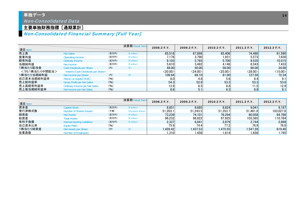### 単独データ Non-Consolidated Data

### 主要単独財務指標 [通期累計]

### Non-Consolidated Financial Summary [Full Year]

| 項目 Item       |                                                          |       | 決算期 Fiscal Term | 2008.3 F.Y.             | 2009.3 F.Y.             | 2010.3 F.Y.             | 2011.3 F.Y.             | 2012.3 F.Y.          |
|---------------|----------------------------------------------------------|-------|-----------------|-------------------------|-------------------------|-------------------------|-------------------------|----------------------|
| 売上高           | <b>Net Sales</b>                                         | (百万円) | $(*$ million)   | 65.518                  | 67.898                  | 65.406                  | 74.460                  | 81.590               |
| 営業利益          | <b>Operating Income</b>                                  | (百万円) | $(*$ million)   | 7.178                   | 3.790                   | 1.931                   | 5.573                   | 7.630 <mark>1</mark> |
| 経常利益          | Ordinary Income                                          | (百万円) | $(*)$ million)  | 9.103                   | 5,765                   | 5.700                   | 8.535                   | 10,515               |
| 当期純利益         | Net Income                                               | (百万円) | $(*$ million)   | 5.610                   | 3.482                   | 4.146                   | 6.543                   | 7.433                |
| 1株当たり配当金      | Cash Divdends per Share                                  | (円)   | $(\c{4})$       | 48.00                   | 50.00                   | 56.00                   | 60.00                   | 34.00                |
| <うち1株当たり中間配当> | <interim cash="" dividends="" per="" share=""></interim> |       |                 | $\langle 20.00 \rangle$ | $\langle 24.00 \rangle$ | $\langle 25.00 \rangle$ | $\langle 28.00 \rangle$ | $<$ 15.00 $>$        |
| 1株当たり当期純利益    | Net Income per Share                                     | (円)   | $(\ddot{(*)}$   | 109.94                  | 68.10                   | 81.00                   | 127.50                  | 72.34                |
| 自己資本当期純利益率    | Return on Equity [ROE]                                   | (96)  |                 | 8.0 <sub>1</sub>        | 4.8                     | 5.6                     | 8.4                     | 9.1                  |
| 売上総利益率        | <b>Gross Profit per Net Sales</b>                        | (9/6) |                 | 54.3                    | 52.9                    | 53.3                    | 53.3                    | 53.6                 |
| 売上高経常利益率      | Ordinary Income per Net Sales                            | (96)  |                 | 13.9                    | 8.5                     | 8.8                     | 11.5                    | 12.9                 |
| 売上高当期純利益率     | Net Income per Net Sales                                 | (96)  |                 | 8.6                     | 5.1                     | 6.3                     | 8.8                     | 9.1                  |

| 項目 Item  |                              |       | 決算期 Fiscal Term   | 2008.3 F.Y. | 2009.3 F.Y. | 2010.3 F.Y. | 2011.3 F.Y. | 2012.3 F.Y.       |
|----------|------------------------------|-------|-------------------|-------------|-------------|-------------|-------------|-------------------|
| 資本金      | <b>Capital Stock</b>         | (百万円) | $(*)$ million)    | 8.651       | 8.685       | 8.824       | 9.041       | 9.187             |
| 発行済株式数   | Number of Shares Issued      | (千株)  | (thousand shares) | 51,203.1    | 51.243.5    | 51.353.7    | 51.461.8    | 103,027.0         |
| 純資産      | <b>Net Assets</b>            | (百万円) | $(*)$ million)    | 73.239      | 74.101      | 76.294      | 80.058      | 84.788            |
| 総資産      | <b>Total Assets</b>          | (百万円) | $(*)$ million)    | 96,232      | 98,822      | 97,925      | 103,385     | 110.784           |
| 有利子負債    | Interest-bearing Liabilities | (百万円) | $(*)$ million)    | 2,337       | 6.841       | 2.879       | 2.744       | 2.898             |
| 自己資本比率   | <b>Equity Ratio</b>          | (96)  |                   | 75.9        | 74.4        | 77.2        | 76.9I       | 76.0              |
| 1株当たり純資産 | Net Assets per Share         | (円)   | (¥)               | 428.42. ا   | 1.437.53    | 1.475.55    | 1.547.28    | 819.40            |
| 従業員数     | <b>Number of Employees</b>   |       |                   | 310.ا       | 1.456       | .614        | 1,656       | l.785 $^{\prime}$ |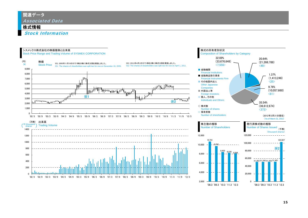### 関連データ Associated Data

### 株式情報

Stock Information

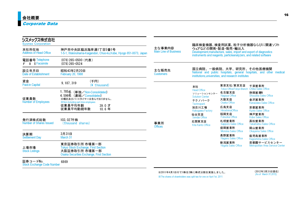| シスメックス株式会社<br><b>Sysmex Corporation</b>                                                                                            |                                                                                                                                       |                                        |                                                                                                                                                              |                                                                                                | 臨床検査機器、検査用試薬、粒子分析機器ならびに関連ソフト                                                                         |  |  |  |
|------------------------------------------------------------------------------------------------------------------------------------|---------------------------------------------------------------------------------------------------------------------------------------|----------------------------------------|--------------------------------------------------------------------------------------------------------------------------------------------------------------|------------------------------------------------------------------------------------------------|------------------------------------------------------------------------------------------------------|--|--|--|
| 本社所在地<br>神戸市中央区脇浜海岸通1丁目5番1号<br><b>Address of Head Office</b><br>1-5-1, Wakinohama-Kaigandori, Chuo-ku, Kobe, Hyogo 651-0073, Japan |                                                                                                                                       | 主な事業内容<br><b>Main Line of Business</b> | ウェアなどの開発・製造・販売・輸出入<br>Development, manufacture, sales, import and export of diagnostics<br>instruments and reagents, particleanalyzers, and related software |                                                                                                |                                                                                                      |  |  |  |
| 電話番号 Telephone<br>F A X Facsimile                                                                                                  | (078) 265-0500 (代表)<br>$(078)$ 265-0524                                                                                               |                                        |                                                                                                                                                              |                                                                                                |                                                                                                      |  |  |  |
| 設立年月日<br>Date of Establishment                                                                                                     | 昭和43年2月20日<br><b>February 20, 1968</b>                                                                                                | 主な販売先<br><b>Customers</b>              |                                                                                                                                                              | 国立病院、一般病院、大学、研究所、その他医療機関<br>institutions, universities, and research institutes                | National and public hospitals, general hospitals, and other medical                                  |  |  |  |
| 資金<br>Paid-in Capital                                                                                                              | (千円)<br>9, 187, 319<br>$(Y$ thousand)                                                                                                 |                                        | 本社                                                                                                                                                           | 東京支社/東京支店                                                                                      | 千葉営業所                                                                                                |  |  |  |
| 従業員数<br><b>Number of Employees</b>                                                                                                 | 1,785名<br>(単独/Non-Consolidated)<br>4.596名 (連結/Consolidated)<br>※嘱託及びパートタイマーは含んでおりません。<br><b>X</b> : Non-Including part-time employees |                                        | <b>Head Office</b><br>ソリューションセンター<br><b>Solution Center</b><br>テクノパーク<br>Technopark                                                                          | <b>Tokyo Office/Tokyo Branch</b><br>名古屋支店<br>Nagoya Office<br>大阪支店<br>Osaka Office             | <b>Chiba Sales Office</b><br>静岡営業所<br><b>Shizuoka Sales Office</b><br>金沢営業所<br>Kanazawa Sales Office |  |  |  |
|                                                                                                                                    | 従業員平均年齢<br>$39.0$ 才<br>従業員平均勤続年数<br>10.6年                                                                                             |                                        | 加古川工場<br><b>Kakogawa Factory</b><br>仙台支店                                                                                                                     | 広島支店<br><b>HiroshimaOffice</b><br>福岡支店                                                         | 京都営業所<br><b>Kyoto Sales Office</b><br>神戸営業所                                                          |  |  |  |
| 発行済株式総数<br>Number of Shares Issued                                                                                                 | 103,027千株<br>(thousand shares)                                                                                                        | 事業所<br><b>Offices</b>                  | Sendai Office<br>北関東支店<br>Kita Kanto Office                                                                                                                  | Fukuoka Office<br>札幌営業所<br><b>Sapporo Sales Office</b><br>盛岡営業所<br><b>Morioka Sales Office</b> | Kobe Sales Office<br>高松営業所<br><b>Takamatsu Sales Office</b><br>岡山営業所                                 |  |  |  |
| 決算期<br><b>Settlement Day</b>                                                                                                       | 3月31日<br>March 31                                                                                                                     |                                        |                                                                                                                                                              | 長野営業所<br>Nagano Sales Office                                                                   | Okayama Sales Office<br>鹿児島営業所<br>Kagoshima Sales Office                                             |  |  |  |
| 上場市場<br><b>Stock Listings</b>                                                                                                      | 東京証券取引所 市場第一部<br><b>Tokyo Stock Exchange, First Section</b><br>大阪証券取引所 市場第一部<br><b>Osaka Securities Exchange, First Section</b>       |                                        |                                                                                                                                                              | 新潟営業所<br>Niigata Sales Office                                                                  | 首都圏サービスセンター<br>Metropolitan Area Service Center                                                      |  |  |  |
| 証券コードNo.                                                                                                                           | 6869                                                                                                                                  |                                        |                                                                                                                                                              |                                                                                                |                                                                                                      |  |  |  |

Stock Exchange Code Number

※2011年4月1日付で1株を2株に株式分割を実施しました。 ※The shares of shareholders was split two for one on April 1st, 2011.

(2012年3月31日現在) (As of March 31,2012)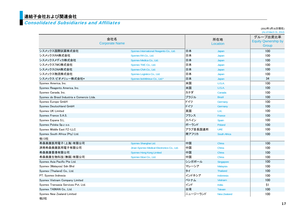## <mark>連結子会社および関連会社</mark><br>■ *Consolidated Subsidiaries and Affiliates*

|                                             |                                            |          |                     | (2012年3月31日現在)<br>(As of March 31, 2012)        |
|---------------------------------------------|--------------------------------------------|----------|---------------------|-------------------------------------------------|
| 会社名<br><b>Corporate Name</b>                |                                            |          | 所在地<br>Location     | グループ出資比率<br><b>Equity Qwnership by</b><br>Group |
| シスメックス国際試薬株式会社                              | Sysmex International Reagents Co., Ltd.    | 日本       | Japan               | 100                                             |
| シスメックスRA株式会社                                | Sysmex RA Co., Ltd.                        | 日本       | Japan               | 100                                             |
| シスメックスメディカ株式会社                              | Sysmex Medica Co., Ltd.                    | 日本       | <b>Japan</b>        | 100                                             |
| シスメックスTMC株式会社                               | Sysmex TMC Co., Ltd.                       | 日本       | Japan               | 100                                             |
| シスメックスCNA株式会社                               | Sysmex CNA Co., Ltd.                       | 日本       | Japan               | 100                                             |
| シスメックス物流株式会社                                | Sysmex Logistics Co., Ltd.                 | 日本       | Japan               | 100                                             |
| シスメックス・ビオメリュー株式会社*                          | Sysmex bioMérieux Co., Ltd.*               | 日本       | Japan               | 34                                              |
| Sysmex America, Inc.                        |                                            | 米国       | U.S.A.              | 100                                             |
| Sysmex Reagents America, Inc.               |                                            | :米国      | U.S.A.              | 100                                             |
| Sysmex Canada, Inc.                         |                                            | カナダ      | Canada              | 100                                             |
| Sysmex do Brasil Industria e Comercio Ltda. |                                            | ブラジル     | <b>Brazil</b>       | 100                                             |
| Sysmex Europe GmbH                          |                                            | ドイツ      | Germany             | 100                                             |
| Sysmex Deutschland GmbH                     |                                            | ドイツ      | Germany             | 100                                             |
| <b>Sysmex UK Limited</b>                    |                                            | :英国      | U.K.                | 100                                             |
| Sysmex France S.A.S.                        |                                            | フランス     | France              | 100                                             |
| Sysmex Espana S.L.                          |                                            | スペイン     | <b>Spain</b>        | 100                                             |
| Sysmex Polska Sp.z o.o.                     |                                            | ポーランド    | Poland              | 100                                             |
| Sysmex Middle East FZ-LLC                   |                                            | アラブ首長国連邦 | <b>UAE</b>          | 100                                             |
| Sysmex South Africa (Pty) Ltd.              |                                            | 南アフリカ    | <b>South Africa</b> | 100                                             |
| 他13社                                        |                                            |          |                     |                                                 |
| 希森美康医用電子(上海)有限公司                            | Sysmex Shanghai Ltd.                       | 中国       | China               | 100                                             |
| 済南希森美康医用電子有限公司                              | Jinan Sysmex Medical Electronics Co., Ltd. | - 中国     | China               | 100                                             |
| 希森美康香港有限公司                                  | <b>Sysmex Hong Kong Limited</b>            | 中国       | China               | 100                                             |
| 希森美康生物科技(無錫)有限公司                            | Sysmex Wuxi Co., Ltd.                      | 中国       | China               | 100                                             |
| Sysmex Asia Pacific Pte Ltd.                |                                            | シンガポール   | Singapore           | 100                                             |
| Sysmex (Malaysia) Sdn Bhd                   |                                            | マレーシア    | Malaysia            | 100                                             |
| Sysmex (Thailand) Co., Ltd.                 |                                            | ・タイ      | <b>Thailand</b>     | 100                                             |
| PT. Sysmex Indnesia                         |                                            | インドネシア   | Indonesia           | 100                                             |
| Sysmex Vietnam Company Limited              |                                            | ベトナム     | Vietnam             | 100                                             |
| Sysmex Transasia Services Pvt. Ltd.         |                                            | インド      | India               | 51                                              |
| Sysmex TAIWAN Co., Ltd.                     |                                            | :台湾      | <b>Taiwan</b>       | 100                                             |
| Sysmex New Zealand Limited<br>他2社           |                                            | ニュージーランド | <b>New Zealand</b>  | 100                                             |